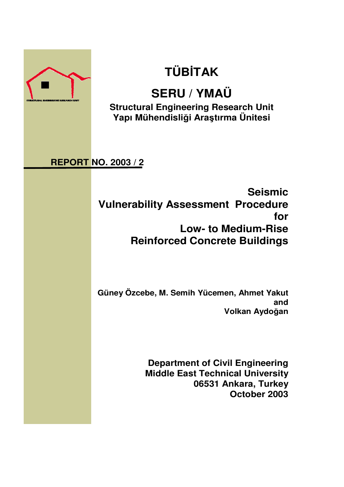

# **TÜBİTAK**

# **SERU / YMAÜ**

**Structural Engineering Research Unit Yapı Mühendisli**ğ**i Ara**ş**tırma Ünitesi**

# **REPORT NO. 2003 / 2**

**Seismic Vulnerability Assessment Procedure for Low- to Medium-Rise Reinforced Concrete Buildings**

**Güney Özcebe, M. Semih Yücemen, Ahmet Yakut and Volkan Aydo**ğ**an**

> **Department of Civil Engineering Middle East Technical University 06531 Ankara, Turkey October 2003**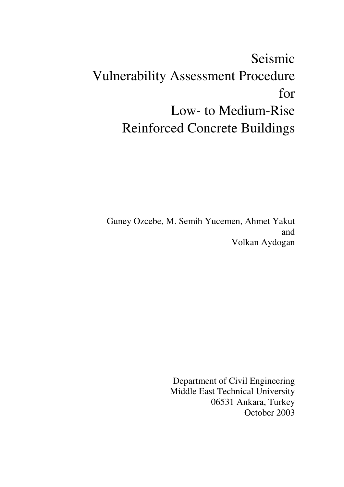# Seismic Vulnerability Assessment Procedure for Low- to Medium-Rise Reinforced Concrete Buildings

Guney Ozcebe, M. Semih Yucemen, Ahmet Yakut and Volkan Aydogan

> Department of Civil Engineering Middle East Technical University 06531 Ankara, Turkey October 2003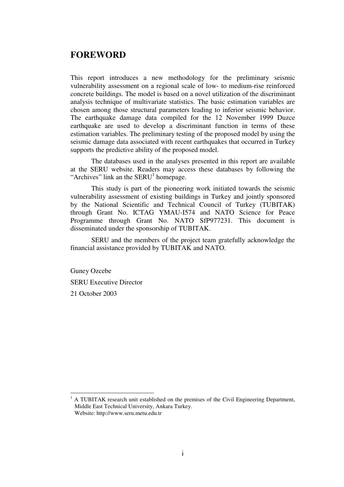# **FOREWORD**

This report introduces a new methodology for the preliminary seismic vulnerability assessment on a regional scale of low- to medium-rise reinforced concrete buildings. The model is based on a novel utilization of the discriminant analysis technique of multivariate statistics. The basic estimation variables are chosen among those structural parameters leading to inferior seismic behavior. The earthquake damage data compiled for the 12 November 1999 Duzce earthquake are used to develop a discriminant function in terms of these estimation variables. The preliminary testing of the proposed model by using the seismic damage data associated with recent earthquakes that occurred in Turkey supports the predictive ability of the proposed model.

The databases used in the analyses presented in this report are available at the SERU website. Readers may access these databases by following the "Archives" link an the  $SERU<sup>1</sup>$  homepage.

This study is part of the pioneering work initiated towards the seismic vulnerability assessment of existing buildings in Turkey and jointly sponsored by the National Scientific and Technical Council of Turkey (TUBITAK) through Grant No. ICTAG YMAU-I574 and NATO Science for Peace Programme through Grant No. NATO SfP977231. This document is disseminated under the sponsorship of TUBITAK.

SERU and the members of the project team gratefully acknowledge the financial assistance provided by TUBITAK and NATO.

Guney Ozcebe SERU Executive Director 21 October 2003

 $\overline{a}$ 

<sup>&</sup>lt;sup>1</sup> A TUBITAK research unit established on the premises of the Civil Engineering Department, Middle East Technical University, Ankara Turkey. Website: http://www.seru.metu.edu.tr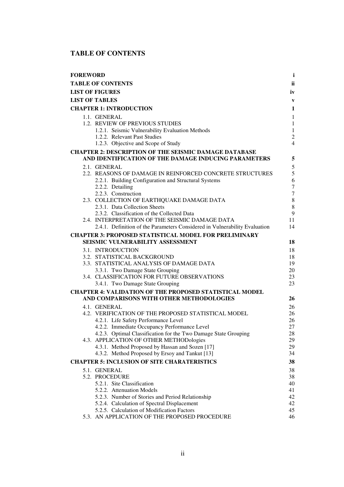# **TABLE OF CONTENTS**

| <b>FOREWORD</b>                                                                                    | $\mathbf{i}$                         |
|----------------------------------------------------------------------------------------------------|--------------------------------------|
| <b>TABLE OF CONTENTS</b>                                                                           | <b>ii</b>                            |
| <b>LIST OF FIGURES</b>                                                                             | iv                                   |
| <b>LIST OF TABLES</b>                                                                              | $\mathbf{V}$                         |
| <b>CHAPTER 1: INTRODUCTION</b>                                                                     | 1                                    |
| 1.1. GENERAL                                                                                       | $\mathbf{1}$                         |
| 1.2. REVIEW OF PREVIOUS STUDIES                                                                    | $\mathbf{1}$                         |
| 1.2.1. Seismic Vulnerability Evaluation Methods                                                    | $\mathbf{1}$                         |
| 1.2.2. Relevant Past Studies                                                                       | $\overline{2}$                       |
| 1.2.3. Objective and Scope of Study                                                                | $\overline{4}$                       |
| <b>CHAPTER 2: DESCRIPTION OF THE SEISMIC DAMAGE DATABASE</b>                                       |                                      |
| AND IDENTIFICATION OF THE DAMAGE INDUCING PARAMETERS                                               | 5                                    |
| 2.1. GENERAL                                                                                       | 5                                    |
| 2.2. REASONS OF DAMAGE IN REINFORCED CONCRETE STRUCTURES                                           | 5                                    |
| 2.2.1. Building Configuration and Structural Systems                                               | 6                                    |
| 2.2.2. Detailing<br>2.2.3. Construction                                                            | $\boldsymbol{7}$<br>$\boldsymbol{7}$ |
| 2.3. COLLECTION OF EARTHQUAKE DAMAGE DATA                                                          | $\,8\,$                              |
| 2.3.1. Data Collection Sheets                                                                      | $\,8\,$                              |
| 2.3.2. Classification of the Collected Data                                                        | 9                                    |
| 2.4. INTERPRETATION OF THE SEISMIC DAMAGE DATA                                                     | 11                                   |
| 2.4.1. Definition of the Parameters Considered in Vulnerability Evaluation                         | 14                                   |
| <b>CHAPTER 3: PROPOSED STATISTICAL MODEL FOR PRELIMINARY</b>                                       |                                      |
| SEISMIC VULNERABILITY ASSESSMENT                                                                   | 18                                   |
| 3.1. INTRODUCTION                                                                                  | 18                                   |
| 3.2. STATISTICAL BACKGROUND                                                                        | 18                                   |
| 3.3. STATISTICAL ANALYSIS OF DAMAGE DATA                                                           | 19                                   |
| 3.3.1. Two Damage State Grouping<br>3.4. CLASSIFICATION FOR FUTURE OBSERVATIONS                    | 20<br>23                             |
| 3.4.1. Two Damage State Grouping                                                                   | 23                                   |
| <b>CHAPTER 4: VALIDATION OF THE PROPOSED STATISTICAL MODEL</b>                                     |                                      |
| AND COMPARISONS WITH OTHER METHODOLOGIES                                                           | 26                                   |
| 4.1. GENERAL                                                                                       | 26                                   |
| 4.2. VERIFICATION OF THE PROPOSED STATISTICAL MODEL                                                | 26                                   |
| 4.2.1. Life Safety Performance Level                                                               | 26                                   |
| 4.2.2. Immediate Occupancy Performance Level                                                       | 27                                   |
| 4.2.3. Optimal Classification for the Two Damage State Grouping                                    | 28                                   |
| 4.3. APPLICATION OF OTHER METHODologies                                                            | 29                                   |
| 4.3.1. Method Proposed by Hassan and Sozen [17]<br>4.3.2. Method Proposed by Ersoy and Tankut [13] | 29<br>34                             |
|                                                                                                    |                                      |
| <b>CHAPTER 5: INCLUSION OF SITE CHARATERISTICS</b>                                                 | 38                                   |
| 5.1. GENERAL<br>5.2. PROCEDURE                                                                     | 38<br>38                             |
| 5.2.1. Site Classification                                                                         | 40                                   |
| 5.2.2. Attenuation Models                                                                          | 41                                   |
| 5.2.3. Number of Stories and Period Relationship                                                   | 42                                   |
| 5.2.4. Calculation of Spectral Displacement                                                        | 42                                   |
| 5.2.5. Calculation of Modification Factors                                                         | 45                                   |
| 5.3. AN APPLICATION OF THE PROPOSED PROCEDURE                                                      | 46                                   |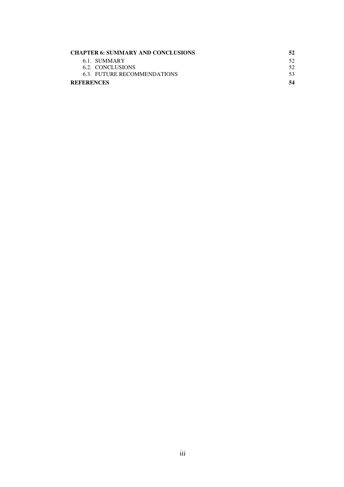| <b>CHAPTER 6: SUMMARY AND CONCLUSIONS</b> | 52  |
|-------------------------------------------|-----|
| 6.1. SUMMARY                              | 52. |
| 6.2. CONCLUSIONS                          | 52. |
| 6.3. FUTURE RECOMMENDATIONS               | 53. |
| <b>REFERENCES</b>                         | 54  |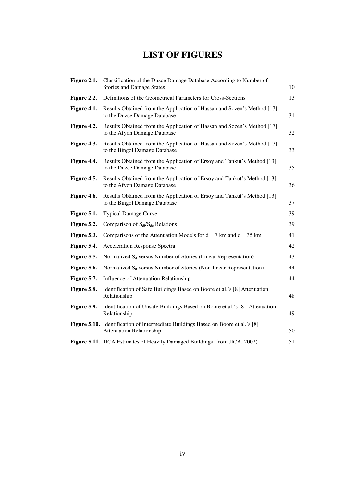# **LIST OF FIGURES**

| Figure 2.1. | Classification of the Duzce Damage Database According to Number of<br><b>Stories and Damage States</b>               |    |  |
|-------------|----------------------------------------------------------------------------------------------------------------------|----|--|
| Figure 2.2. | Definitions of the Geometrical Parameters for Cross-Sections                                                         | 13 |  |
| Figure 4.1. | Results Obtained from the Application of Hassan and Sozen's Method [17]<br>to the Duzce Damage Database              | 31 |  |
| Figure 4.2. | Results Obtained from the Application of Hassan and Sozen's Method [17]<br>to the Afyon Damage Database              | 32 |  |
| Figure 4.3. | Results Obtained from the Application of Hassan and Sozen's Method [17]<br>to the Bingol Damage Database             | 33 |  |
| Figure 4.4. | Results Obtained from the Application of Ersoy and Tankut's Method [13]<br>to the Duzce Damage Database              | 35 |  |
| Figure 4.5. | Results Obtained from the Application of Ersoy and Tankut's Method [13]<br>to the Afyon Damage Database              | 36 |  |
| Figure 4.6. | Results Obtained from the Application of Ersoy and Tankut's Method [13]<br>to the Bingol Damage Database             | 37 |  |
| Figure 5.1. | <b>Typical Damage Curve</b>                                                                                          | 39 |  |
| Figure 5.2. | Comparison of $S_{di}/S_{de}$ Relations                                                                              | 39 |  |
| Figure 5.3. | Comparisons of the Attenuation Models for $d = 7$ km and $d = 35$ km                                                 | 41 |  |
| Figure 5.4. | <b>Acceleration Response Spectra</b>                                                                                 | 42 |  |
| Figure 5.5. | Normalized S <sub>d</sub> versus Number of Stories (Linear Representation)                                           | 43 |  |
| Figure 5.6. | Normalized S <sub>d</sub> versus Number of Stories (Non-linear Representation)                                       | 44 |  |
| Figure 5.7. | Influence of Attenuation Relationship                                                                                | 44 |  |
| Figure 5.8. | Identification of Safe Buildings Based on Boore et al.'s [8] Attenuation<br>Relationship                             | 48 |  |
| Figure 5.9. | Identification of Unsafe Buildings Based on Boore et al.'s [8] Attenuation<br>Relationship                           | 49 |  |
|             | Figure 5.10. Identification of Intermediate Buildings Based on Boore et al.'s [8]<br><b>Attenuation Relationship</b> | 50 |  |
|             | Figure 5.11. JICA Estimates of Heavily Damaged Buildings (from JICA, 2002)                                           | 51 |  |
|             |                                                                                                                      |    |  |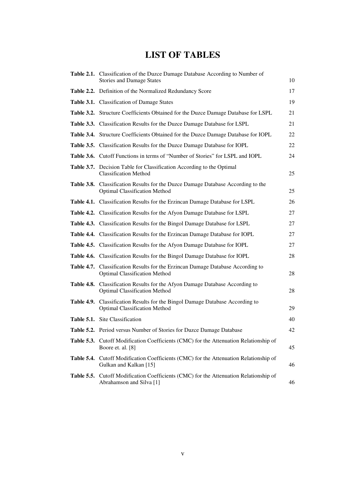# **LIST OF TABLES**

|            | Table 2.1. Classification of the Duzce Damage Database According to Number of<br><b>Stories and Damage States</b>        | 10 |
|------------|--------------------------------------------------------------------------------------------------------------------------|----|
|            | Table 2.2. Definition of the Normalized Redundancy Score                                                                 | 17 |
|            | Table 3.1. Classification of Damage States                                                                               | 19 |
|            | Table 3.2. Structure Coefficients Obtained for the Duzce Damage Database for LSPL                                        | 21 |
|            | Table 3.3. Classification Results for the Duzce Damage Database for LSPL                                                 | 21 |
|            | Table 3.4. Structure Coefficients Obtained for the Duzce Damage Database for IOPL                                        | 22 |
|            | Table 3.5. Classification Results for the Duzce Damage Database for IOPL                                                 | 22 |
|            | Table 3.6. Cutoff Functions in terms of "Number of Stories" for LSPL and IOPL                                            | 24 |
|            | Table 3.7. Decision Table for Classification According to the Optimal<br><b>Classification Method</b>                    | 25 |
|            | Table 3.8. Classification Results for the Duzce Damage Database According to the<br><b>Optimal Classification Method</b> | 25 |
|            | Table 4.1. Classification Results for the Erzincan Damage Database for LSPL                                              | 26 |
|            | Table 4.2. Classification Results for the Afyon Damage Database for LSPL                                                 | 27 |
|            | Table 4.3. Classification Results for the Bingol Damage Database for LSPL                                                | 27 |
|            | Table 4.4. Classification Results for the Erzincan Damage Database for IOPL                                              | 27 |
|            | Table 4.5. Classification Results for the Afyon Damage Database for IOPL                                                 | 27 |
|            | Table 4.6. Classification Results for the Bingol Damage Database for IOPL                                                | 28 |
|            | Table 4.7. Classification Results for the Erzincan Damage Database According to<br><b>Optimal Classification Method</b>  | 28 |
|            | Table 4.8. Classification Results for the Afyon Damage Database According to<br><b>Optimal Classification Method</b>     | 28 |
|            | Table 4.9. Classification Results for the Bingol Damage Database According to<br><b>Optimal Classification Method</b>    | 29 |
|            | Table 5.1. Site Classification                                                                                           | 40 |
|            | Table 5.2. Period versus Number of Stories for Duzce Damage Database                                                     | 42 |
|            | <b>Table 5.3.</b> Cutoff Modification Coefficients (CMC) for the Attenuation Relationship of<br>Boore et. al. [8]        | 45 |
| Table 5.4. | Cutoff Modification Coefficients (CMC) for the Attenuation Relationship of<br>Gulkan and Kalkan [15]                     | 46 |
|            | <b>Table 5.5.</b> Cutoff Modification Coefficients (CMC) for the Attenuation Relationship of<br>Abrahamson and Silva [1] | 46 |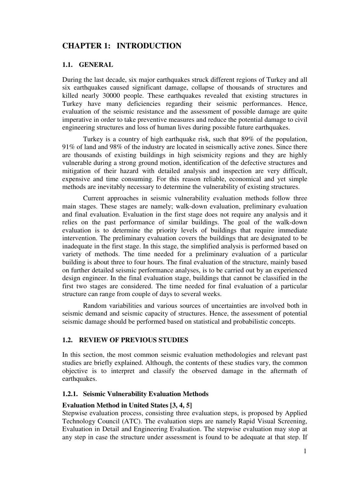# **CHAPTER 1: INTRODUCTION**

#### **1.1. GENERAL**

During the last decade, six major earthquakes struck different regions of Turkey and all six earthquakes caused significant damage, collapse of thousands of structures and killed nearly 30000 people. These earthquakes revealed that existing structures in Turkey have many deficiencies regarding their seismic performances. Hence, evaluation of the seismic resistance and the assessment of possible damage are quite imperative in order to take preventive measures and reduce the potential damage to civil engineering structures and loss of human lives during possible future earthquakes.

Turkey is a country of high earthquake risk, such that 89% of the population, 91% of land and 98% of the industry are located in seismically active zones. Since there are thousands of existing buildings in high seismicity regions and they are highly vulnerable during a strong ground motion, identification of the defective structures and mitigation of their hazard with detailed analysis and inspection are very difficult, expensive and time consuming. For this reason reliable, economical and yet simple methods are inevitably necessary to determine the vulnerability of existing structures.

Current approaches in seismic vulnerability evaluation methods follow three main stages. These stages are namely; walk-down evaluation, preliminary evaluation and final evaluation. Evaluation in the first stage does not require any analysis and it relies on the past performance of similar buildings. The goal of the walk-down evaluation is to determine the priority levels of buildings that require immediate intervention. The preliminary evaluation covers the buildings that are designated to be inadequate in the first stage. In this stage, the simplified analysis is performed based on variety of methods. The time needed for a preliminary evaluation of a particular building is about three to four hours. The final evaluation of the structure, mainly based on further detailed seismic performance analyses, is to be carried out by an experienced design engineer. In the final evaluation stage, buildings that cannot be classified in the first two stages are considered. The time needed for final evaluation of a particular structure can range from couple of days to several weeks.

Random variabilities and various sources of uncertainties are involved both in seismic demand and seismic capacity of structures. Hence, the assessment of potential seismic damage should be performed based on statistical and probabilistic concepts.

#### **1.2. REVIEW OF PREVIOUS STUDIES**

In this section, the most common seismic evaluation methodologies and relevant past studies are briefly explained. Although, the contents of these studies vary, the common objective is to interpret and classify the observed damage in the aftermath of earthquakes.

#### **1.2.1. Seismic Vulnerability Evaluation Methods**

#### **Evaluation Method in United States [3, 4, 5]**

Stepwise evaluation process, consisting three evaluation steps, is proposed by Applied Technology Council (ATC). The evaluation steps are namely Rapid Visual Screening, Evaluation in Detail and Engineering Evaluation. The stepwise evaluation may stop at any step in case the structure under assessment is found to be adequate at that step. If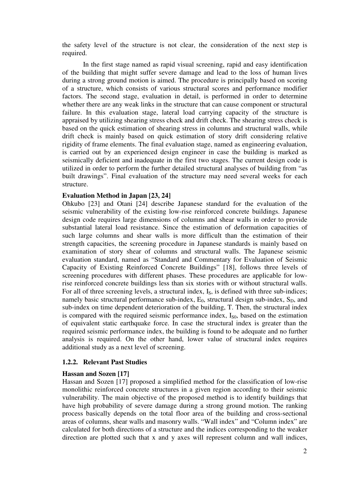the safety level of the structure is not clear, the consideration of the next step is required.

In the first stage named as rapid visual screening, rapid and easy identification of the building that might suffer severe damage and lead to the loss of human lives during a strong ground motion is aimed. The procedure is principally based on scoring of a structure, which consists of various structural scores and performance modifier factors. The second stage, evaluation in detail, is performed in order to determine whether there are any weak links in the structure that can cause component or structural failure. In this evaluation stage, lateral load carrying capacity of the structure is appraised by utilizing shearing stress check and drift check. The shearing stress check is based on the quick estimation of shearing stress in columns and structural walls, while drift check is mainly based on quick estimation of story drift considering relative rigidity of frame elements. The final evaluation stage, named as engineering evaluation, is carried out by an experienced design engineer in case the building is marked as seismically deficient and inadequate in the first two stages. The current design code is utilized in order to perform the further detailed structural analyses of building from "as built drawings". Final evaluation of the structure may need several weeks for each structure.

#### **Evaluation Method in Japan [23, 24]**

Ohkubo [23] and Otani [24] describe Japanese standard for the evaluation of the seismic vulnerability of the existing low-rise reinforced concrete buildings. Japanese design code requires large dimensions of columns and shear walls in order to provide substantial lateral load resistance. Since the estimation of deformation capacities of such large columns and shear walls is more difficult than the estimation of their strength capacities, the screening procedure in Japanese standards is mainly based on examination of story shear of columns and structural walls. The Japanese seismic evaluation standard, named as "Standard and Commentary for Evaluation of Seismic Capacity of Existing Reinforced Concrete Buildings" [18], follows three levels of screening procedures with different phases. These procedures are applicable for lowrise reinforced concrete buildings less than six stories with or without structural walls. For all of three screening levels, a structural index, I<sub>S</sub>, is defined with three sub-indices; namely basic structural performance sub-index,  $E_0$ , structural design sub-index,  $S_D$ , and sub-index on time dependent deterioration of the building, T. Then, the structural index is compared with the required seismic performance index,  $I_{\text{SO}}$ , based on the estimation of equivalent static earthquake force. In case the structural index is greater than the required seismic performance index, the building is found to be adequate and no further analysis is required. On the other hand, lower value of structural index requires additional study as a next level of screening.

#### **1.2.2. Relevant Past Studies**

#### **Hassan and Sozen [17]**

Hassan and Sozen [17] proposed a simplified method for the classification of low-rise monolithic reinforced concrete structures in a given region according to their seismic vulnerability. The main objective of the proposed method is to identify buildings that have high probability of severe damage during a strong ground motion. The ranking process basically depends on the total floor area of the building and cross-sectional areas of columns, shear walls and masonry walls. "Wall index" and "Column index" are calculated for both directions of a structure and the indices corresponding to the weaker direction are plotted such that x and y axes will represent column and wall indices,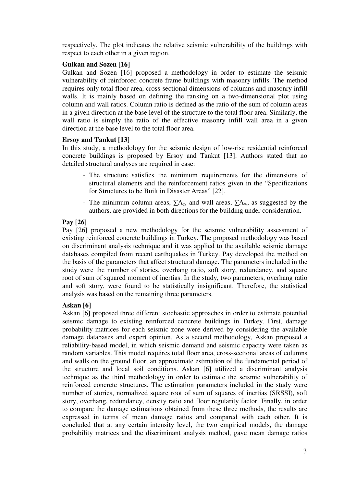respectively. The plot indicates the relative seismic vulnerability of the buildings with respect to each other in a given region.

#### **Gulkan and Sozen [16]**

Gulkan and Sozen [16] proposed a methodology in order to estimate the seismic vulnerability of reinforced concrete frame buildings with masonry infills. The method requires only total floor area, cross-sectional dimensions of columns and masonry infill walls. It is mainly based on defining the ranking on a two-dimensional plot using column and wall ratios. Column ratio is defined as the ratio of the sum of column areas in a given direction at the base level of the structure to the total floor area. Similarly, the wall ratio is simply the ratio of the effective masonry infill wall area in a given direction at the base level to the total floor area.

#### **Ersoy and Tankut [13]**

In this study, a methodology for the seismic design of low-rise residential reinforced concrete buildings is proposed by Ersoy and Tankut [13]. Authors stated that no detailed structural analyses are required in case:

- The structure satisfies the minimum requirements for the dimensions of structural elements and the reinforcement ratios given in the "Specifications for Structures to be Built in Disaster Areas" [22].
- The minimum column areas,  $\Sigma A_c$ , and wall areas,  $\Sigma A_w$ , as suggested by the authors, are provided in both directions for the building under consideration.

# **Pay [26]**

Pay [26] proposed a new methodology for the seismic vulnerability assessment of existing reinforced concrete buildings in Turkey. The proposed methodology was based on discriminant analysis technique and it was applied to the available seismic damage databases compiled from recent earthquakes in Turkey. Pay developed the method on the basis of the parameters that affect structural damage. The parameters included in the study were the number of stories, overhang ratio, soft story, redundancy, and square root of sum of squared moment of inertias. In the study, two parameters, overhang ratio and soft story, were found to be statistically insignificant. Therefore, the statistical analysis was based on the remaining three parameters.

# **Askan [6]**

Askan [6] proposed three different stochastic approaches in order to estimate potential seismic damage to existing reinforced concrete buildings in Turkey. First, damage probability matrices for each seismic zone were derived by considering the available damage databases and expert opinion. As a second methodology, Askan proposed a reliability-based model, in which seismic demand and seismic capacity were taken as random variables. This model requires total floor area, cross-sectional areas of columns and walls on the ground floor, an approximate estimation of the fundamental period of the structure and local soil conditions. Askan [6] utilized a discriminant analysis technique as the third methodology in order to estimate the seismic vulnerability of reinforced concrete structures. The estimation parameters included in the study were number of stories, normalized square root of sum of squares of inertias (SRSSI), soft story, overhang, redundancy, density ratio and floor regularity factor. Finally, in order to compare the damage estimations obtained from these three methods, the results are expressed in terms of mean damage ratios and compared with each other. It is concluded that at any certain intensity level, the two empirical models, the damage probability matrices and the discriminant analysis method, gave mean damage ratios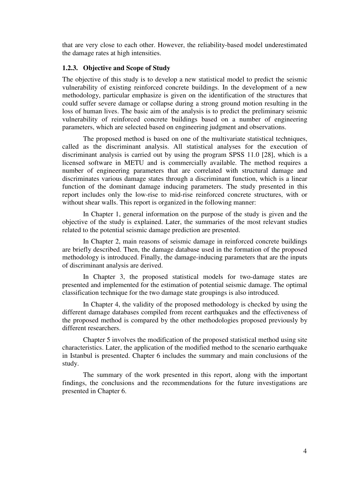that are very close to each other. However, the reliability-based model underestimated the damage rates at high intensities.

#### **1.2.3. Objective and Scope of Study**

The objective of this study is to develop a new statistical model to predict the seismic vulnerability of existing reinforced concrete buildings. In the development of a new methodology, particular emphasize is given on the identification of the structures that could suffer severe damage or collapse during a strong ground motion resulting in the loss of human lives. The basic aim of the analysis is to predict the preliminary seismic vulnerability of reinforced concrete buildings based on a number of engineering parameters, which are selected based on engineering judgment and observations.

The proposed method is based on one of the multivariate statistical techniques, called as the discriminant analysis. All statistical analyses for the execution of discriminant analysis is carried out by using the program SPSS 11.0 [28], which is a licensed software in METU and is commercially available. The method requires a number of engineering parameters that are correlated with structural damage and discriminates various damage states through a discriminant function, which is a linear function of the dominant damage inducing parameters. The study presented in this report includes only the low-rise to mid-rise reinforced concrete structures, with or without shear walls. This report is organized in the following manner:

In Chapter 1, general information on the purpose of the study is given and the objective of the study is explained. Later, the summaries of the most relevant studies related to the potential seismic damage prediction are presented.

In Chapter 2, main reasons of seismic damage in reinforced concrete buildings are briefly described. Then, the damage database used in the formation of the proposed methodology is introduced. Finally, the damage-inducing parameters that are the inputs of discriminant analysis are derived.

In Chapter 3, the proposed statistical models for two-damage states are presented and implemented for the estimation of potential seismic damage. The optimal classification technique for the two damage state groupings is also introduced.

In Chapter 4, the validity of the proposed methodology is checked by using the different damage databases compiled from recent earthquakes and the effectiveness of the proposed method is compared by the other methodologies proposed previously by different researchers.

Chapter 5 involves the modification of the proposed statistical method using site characteristics. Later, the application of the modified method to the scenario earthquake in Istanbul is presented. Chapter 6 includes the summary and main conclusions of the study.

The summary of the work presented in this report, along with the important findings, the conclusions and the recommendations for the future investigations are presented in Chapter 6.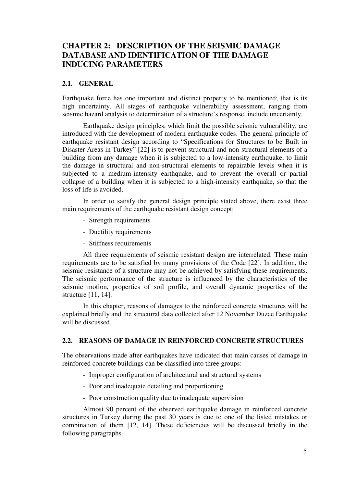# **CHAPTER 2: DESCRIPTION OF THE SEISMIC DAMAGE DATABASE AND IDENTIFICATION OF THE DAMAGE INDUCING PARAMETERS**

#### **2.1. GENERAL**

Earthquake force has one important and distinct property to be mentioned; that is its high uncertainty. All stages of earthquake vulnerability assessment, ranging from seismic hazard analysis to determination of a structure's response, include uncertainty.

Earthquake design principles, which limit the possible seismic vulnerability, are introduced with the development of modern earthquake codes. The general principle of earthquake resistant design according to "Specifications for Structures to be Built in Disaster Areas in Turkey" [22] is to prevent structural and non-structural elements of a building from any damage when it is subjected to a low-intensity earthquake; to limit the damage in structural and non-structural elements to repairable levels when it is subjected to a medium-intensity earthquake, and to prevent the overall or partial collapse of a building when it is subjected to a high-intensity earthquake, so that the loss of life is avoided.

In order to satisfy the general design principle stated above, there exist three main requirements of the earthquake resistant design concept:

- Strength requirements
- Ductility requirements
- Stiffness requirements

All three requirements of seismic resistant design are interrelated. These main requirements are to be satisfied by many provisions of the Code [22]. In addition, the seismic resistance of a structure may not be achieved by satisfying these requirements. The seismic performance of the structure is influenced by the characteristics of the seismic motion, properties of soil profile, and overall dynamic properties of the structure [11, 14].

In this chapter, reasons of damages to the reinforced concrete structures will be explained briefly and the structural data collected after 12 November Duzce Earthquake will be discussed.

#### **2.2. REASONS OF DAMAGE IN REINFORCED CONCRETE STRUCTURES**

The observations made after earthquakes have indicated that main causes of damage in reinforced concrete buildings can be classified into three groups:

- Improper configuration of architectural and structural systems
- Poor and inadequate detailing and proportioning
- Poor construction quality due to inadequate supervision

Almost 90 percent of the observed earthquake damage in reinforced concrete structures in Turkey during the past 30 years is due to one of the listed mistakes or combination of them [12, 14]. These deficiencies will be discussed briefly in the following paragraphs.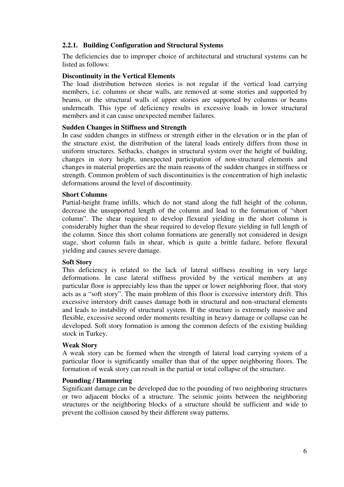### **2.2.1. Building Configuration and Structural Systems**

The deficiencies due to improper choice of architectural and structural systems can be listed as follows:

#### **Discontinuity in the Vertical Elements**

The load distribution between stories is not regular if the vertical load carrying members, i.e. columns or shear walls, are removed at some stories and supported by beams, or the structural walls of upper stories are supported by columns or beams underneath. This type of deficiency results in excessive loads in lower structural members and it can cause unexpected member failures.

#### **Sudden Changes in Stiffness and Strength**

In case sudden changes in stiffness or strength either in the elevation or in the plan of the structure exist, the distribution of the lateral loads entirely differs from those in uniform structures. Setbacks, changes in structural system over the height of building, changes in story height, unexpected participation of non-structural elements and changes in material properties are the main reasons of the sudden changes in stiffness or strength. Common problem of such discontinuities is the concentration of high inelastic deformations around the level of discontinuity.

#### **Short Columns**

Partial-height frame infills, which do not stand along the full height of the column, decrease the unsupported length of the column and lead to the formation of "short column". The shear required to develop flexural yielding in the short column is considerably higher than the shear required to develop flexure yielding in full length of the column. Since this short column formations are generally not considered in design stage, short column fails in shear, which is quite a brittle failure, before flexural yielding and causes severe damage.

#### **Soft Story**

This deficiency is related to the lack of lateral stiffness resulting in very large deformations. In case lateral stiffness provided by the vertical members at any particular floor is appreciably less than the upper or lower neighboring floor, that story acts as a "soft story". The main problem of this floor is excessive interstory drift. This excessive interstory drift causes damage both in structural and non-structural elements and leads to instability of structural system. If the structure is extremely massive and flexible, excessive second order moments resulting in heavy damage or collapse can be developed. Soft story formation is among the common defects of the existing building stock in Turkey.

#### **Weak Story**

A weak story can be formed when the strength of lateral load carrying system of a particular floor is significantly smaller than that of the upper neighboring floors. The formation of weak story can result in the partial or total collapse of the structure.

#### **Pounding / Hammering**

Significant damage can be developed due to the pounding of two neighboring structures or two adjacent blocks of a structure. The seismic joints between the neighboring structures or the neighboring blocks of a structure should be sufficient and wide to prevent the collision caused by their different sway patterns.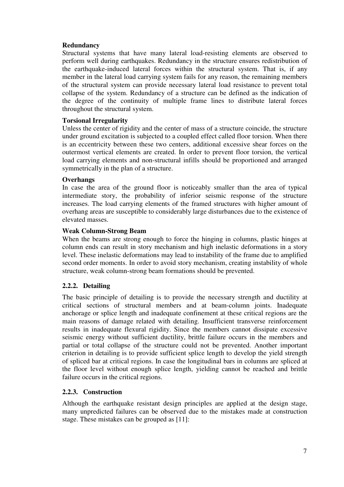# **Redundancy**

Structural systems that have many lateral load-resisting elements are observed to perform well during earthquakes. Redundancy in the structure ensures redistribution of the earthquake-induced lateral forces within the structural system. That is, if any member in the lateral load carrying system fails for any reason, the remaining members of the structural system can provide necessary lateral load resistance to prevent total collapse of the system. Redundancy of a structure can be defined as the indication of the degree of the continuity of multiple frame lines to distribute lateral forces throughout the structural system.

#### **Torsional Irregularity**

Unless the center of rigidity and the center of mass of a structure coincide, the structure under ground excitation is subjected to a coupled effect called floor torsion. When there is an eccentricity between these two centers, additional excessive shear forces on the outermost vertical elements are created. In order to prevent floor torsion, the vertical load carrying elements and non-structural infills should be proportioned and arranged symmetrically in the plan of a structure.

#### **Overhangs**

In case the area of the ground floor is noticeably smaller than the area of typical intermediate story, the probability of inferior seismic response of the structure increases. The load carrying elements of the framed structures with higher amount of overhang areas are susceptible to considerably large disturbances due to the existence of elevated masses.

#### **Weak Column-Strong Beam**

When the beams are strong enough to force the hinging in columns, plastic hinges at column ends can result in story mechanism and high inelastic deformations in a story level. These inelastic deformations may lead to instability of the frame due to amplified second order moments. In order to avoid story mechanism, creating instability of whole structure, weak column-strong beam formations should be prevented.

# **2.2.2. Detailing**

The basic principle of detailing is to provide the necessary strength and ductility at critical sections of structural members and at beam-column joints. Inadequate anchorage or splice length and inadequate confinement at these critical regions are the main reasons of damage related with detailing. Insufficient transverse reinforcement results in inadequate flexural rigidity. Since the members cannot dissipate excessive seismic energy without sufficient ductility, brittle failure occurs in the members and partial or total collapse of the structure could not be prevented. Another important criterion in detailing is to provide sufficient splice length to develop the yield strength of spliced bar at critical regions. In case the longitudinal bars in columns are spliced at the floor level without enough splice length, yielding cannot be reached and brittle failure occurs in the critical regions.

# **2.2.3. Construction**

Although the earthquake resistant design principles are applied at the design stage, many unpredicted failures can be observed due to the mistakes made at construction stage. These mistakes can be grouped as [11]: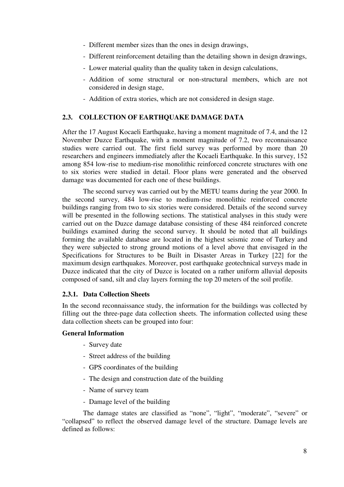- Different member sizes than the ones in design drawings,
- Different reinforcement detailing than the detailing shown in design drawings,
- Lower material quality than the quality taken in design calculations,
- Addition of some structural or non-structural members, which are not considered in design stage,
- Addition of extra stories, which are not considered in design stage.

# **2.3. COLLECTION OF EARTHQUAKE DAMAGE DATA**

After the 17 August Kocaeli Earthquake, having a moment magnitude of 7.4, and the 12 November Duzce Earthquake, with a moment magnitude of 7.2, two reconnaissance studies were carried out. The first field survey was performed by more than 20 researchers and engineers immediately after the Kocaeli Earthquake. In this survey, 152 among 854 low-rise to medium-rise monolithic reinforced concrete structures with one to six stories were studied in detail. Floor plans were generated and the observed damage was documented for each one of these buildings.

The second survey was carried out by the METU teams during the year 2000. In the second survey, 484 low-rise to medium-rise monolithic reinforced concrete buildings ranging from two to six stories were considered. Details of the second survey will be presented in the following sections. The statistical analyses in this study were carried out on the Duzce damage database consisting of these 484 reinforced concrete buildings examined during the second survey. It should be noted that all buildings forming the available database are located in the highest seismic zone of Turkey and they were subjected to strong ground motions of a level above that envisaged in the Specifications for Structures to be Built in Disaster Areas in Turkey [22] for the maximum design earthquakes. Moreover, post earthquake geotechnical surveys made in Duzce indicated that the city of Duzce is located on a rather uniform alluvial deposits composed of sand, silt and clay layers forming the top 20 meters of the soil profile.

# **2.3.1. Data Collection Sheets**

In the second reconnaissance study, the information for the buildings was collected by filling out the three-page data collection sheets. The information collected using these data collection sheets can be grouped into four:

#### **General Information**

- Survey date
- Street address of the building
- GPS coordinates of the building
- The design and construction date of the building
- Name of survey team
- Damage level of the building

The damage states are classified as "none", "light", "moderate", "severe" or "collapsed" to reflect the observed damage level of the structure. Damage levels are defined as follows: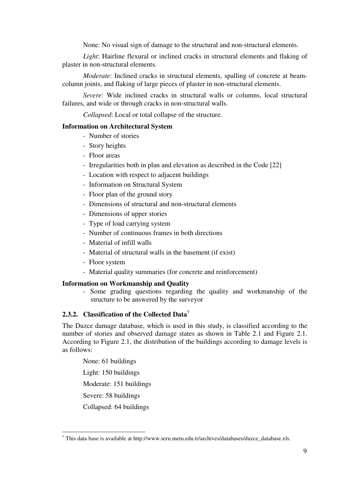None: No visual sign of damage to the structural and non-structural elements.

*Light*: Hairline flexural or inclined cracks in structural elements and flaking of plaster in non-structural elements.

*Moderate*: Inclined cracks in structural elements, spalling of concrete at beamcolumn joints, and flaking of large pieces of plaster in non-structural elements.

*Severe*: Wide inclined cracks in structural walls or columns, local structural failures, and wide or through cracks in non-structural walls.

*Collapsed*: Local or total collapse of the structure.

#### **Information on Architectural System**

- Number of stories
- Story heights
- Floor areas
- Irregularities both in plan and elevation as described in the Code [22]
- Location with respect to adjacent buildings
- Information on Structural System
- Floor plan of the ground story
- Dimensions of structural and non-structural elements
- Dimensions of upper stories
- Type of load carrying system
- Number of continuous frames in both directions
- Material of infill walls
- Material of structural walls in the basement (if exist)
- Floor system
- Material quality summaries (for concrete and reinforcement)

#### **Information on Workmanship and Quality**

- Some grading questions regarding the quality and workmanship of the structure to be answered by the surveyor

#### **2.3.2. Classification of the Collected Data†**

The Duzce damage database, which is used in this study, is classified according to the number of stories and observed damage states as shown in Table 2.1 and Figure 2.1. According to Figure 2.1, the distribution of the buildings according to damage levels is as follows:

None: 61 buildings Light: 150 buildings Moderate: 151 buildings Severe: 58 buildings Collapsed: 64 buildings

 $\overline{a}$ 

<sup>†</sup> This data base is available at http://www.seru.metu.edu.tr/archives/databases/duzce\_database.xls.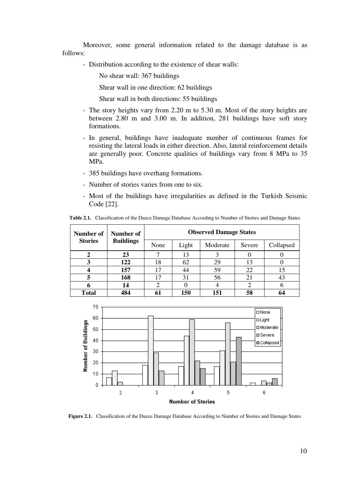Moreover, some general information related to the damage database is as follows:

- Distribution according to the existence of shear walls:

No shear wall: 367 buildings

Shear wall in one direction: 62 buildings

Shear wall in both directions: 55 buildings

- The story heights vary from 2.20 m to 5.30 m. Most of the story heights are between 2.80 m and 3.00 m. In addition, 281 buildings have soft story formations.
- In general, buildings have inadequate number of continuous frames for resisting the lateral loads in either direction. Also, lateral reinforcement details are generally poor. Concrete qualities of buildings vary from 8 MPa to 35 MPa.
- 385 buildings have overhang formations.
- Number of stories varies from one to six.
- Most of the buildings have irregularities as defined in the Turkish Seismic Code [22].

| <b>Number of</b><br>Number of |                  |      |       | <b>Observed Damage States</b> |        |           |
|-------------------------------|------------------|------|-------|-------------------------------|--------|-----------|
| <b>Stories</b>                | <b>Buildings</b> | None | Light | Moderate                      | Severe | Collapsed |
|                               | 23               |      | 13    |                               |        |           |
| 3                             | 122              | 18   | 62    | 29                            | 13     |           |
|                               | 157              | 17   | 44    | 59                            | 22     |           |
| 5                             | 168              | 17   | 31    | 56                            | 21     | 43        |
| h                             | 14               |      |       |                               |        |           |
| <b>Total</b>                  | 484              |      | 150   | 151                           | 58     |           |

**Table 2.1.** Classification of the Duzce Damage Database According to Number of Stories and Damage States



**Figure 2.1.** Classification of the Duzce Damage Database According to Number of Stories and Damage States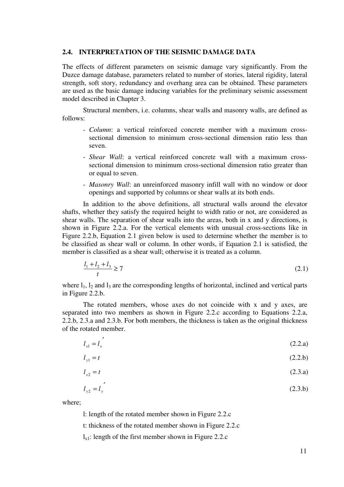#### **2.4. INTERPRETATION OF THE SEISMIC DAMAGE DATA**

The effects of different parameters on seismic damage vary significantly. From the Duzce damage database, parameters related to number of stories, lateral rigidity, lateral strength, soft story, redundancy and overhang area can be obtained. These parameters are used as the basic damage inducing variables for the preliminary seismic assessment model described in Chapter 3.

Structural members, i.e. columns, shear walls and masonry walls, are defined as follows:

- *Column*: a vertical reinforced concrete member with a maximum crosssectional dimension to minimum cross-sectional dimension ratio less than seven.
- *Shear Wall*: a vertical reinforced concrete wall with a maximum crosssectional dimension to minimum cross-sectional dimension ratio greater than or equal to seven.
- *Masonry Wall*: an unreinforced masonry infill wall with no window or door openings and supported by columns or shear walls at its both ends.

In addition to the above definitions, all structural walls around the elevator shafts, whether they satisfy the required height to width ratio or not, are considered as shear walls. The separation of shear walls into the areas, both in x and y directions, is shown in Figure 2.2.a. For the vertical elements with unusual cross-sections like in Figure 2.2.b, Equation 2.1 given below is used to determine whether the member is to be classified as shear wall or column. In other words, if Equation 2.1 is satisfied, the member is classified as a shear wall; otherwise it is treated as a column.

$$
\frac{l_1 + l_2 + l_3}{t} \ge 7\tag{2.1}
$$

where  $l_1$ ,  $l_2$  and  $l_3$  are the corresponding lengths of horizontal, inclined and vertical parts in Figure 2.2.b.

The rotated members, whose axes do not coincide with x and y axes, are separated into two members as shown in Figure 2.2.c according to Equations 2.2.a, 2.2.b, 2.3.a and 2.3.b. For both members, the thickness is taken as the original thickness of the rotated member.

$$
l_{x1} = l_x
$$
 (2.2.a)

$$
l_{y1} = t \tag{2.2.b}
$$

$$
l_{x2} = t \tag{2.3.a}
$$

$$
l_{y2} = l_y
$$
 (2.3.b)

where;

l: length of the rotated member shown in Figure 2.2.c

t: thickness of the rotated member shown in Figure 2.2.c

 $l_{x1}$ : length of the first member shown in Figure 2.2.c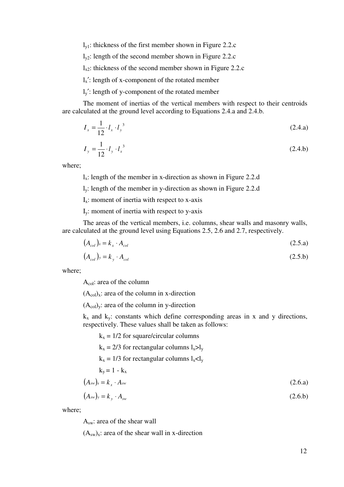$l_{\text{v1}}$ : thickness of the first member shown in Figure 2.2.c

 $l_{v2}$ : length of the second member shown in Figure 2.2.c

 $l_{x2}$ : thickness of the second member shown in Figure 2.2.c

 $l_x$ <sup>'</sup>: length of x-component of the rotated member

ly′: length of y-component of the rotated member

The moment of inertias of the vertical members with respect to their centroids are calculated at the ground level according to Equations 2.4.a and 2.4.b.

$$
I_x = \frac{1}{12} \cdot l_x \cdot l_y^3 \tag{2.4.a}
$$

$$
I_y = \frac{1}{12} \cdot l_y \cdot l_x^3 \tag{2.4.b}
$$

where;

lx: length of the member in x-direction as shown in Figure 2.2.d

ly: length of the member in y-direction as shown in Figure 2.2.d

 $I_x$ : moment of inertia with respect to x-axis

Iy: moment of inertia with respect to y-axis

The areas of the vertical members, i.e. columns, shear walls and masonry walls, are calculated at the ground level using Equations 2.5, 2.6 and 2.7, respectively.

$$
(A_{col})_x = k_x \cdot A_{col} \tag{2.5.a}
$$

$$
(A_{col})_y = k_y \cdot A_{col} \tag{2.5.b}
$$

where;

Acol: area of the column

 $(A_{col})_x$ : area of the column in x-direction

 $(A_{\text{col}})$ <sub>y</sub>: area of the column in y-direction

 $k_x$  and  $k_y$ : constants which define corresponding areas in x and y directions, respectively. These values shall be taken as follows:

 $k_x = 1/2$  for square/circular columns  $k_x = 2/3$  for rectangular columns  $l_x > l_y$  $k_x = 1/3$  for rectangular columns  $l_x < l_y$  $k_y = 1 - k_x$  $(A_{sw})_x = k_x \cdot A_{sw}$  (2.6.a)  $(A_{sw})_y = k_y \cdot A_{sw}$  (2.6.b)

where;

Asw: area of the shear wall

 $(A<sub>sw</sub>)<sub>x</sub>$ : area of the shear wall in x-direction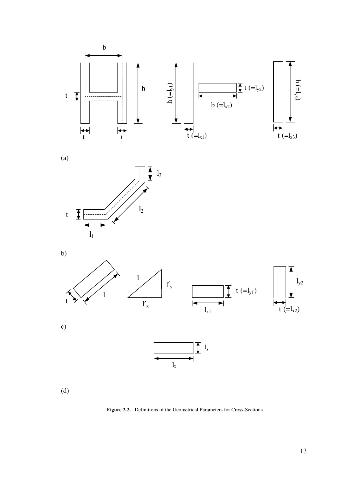

(a)







(d)

**Figure 2.2.** Definitions of the Geometrical Parameters for Cross-Sections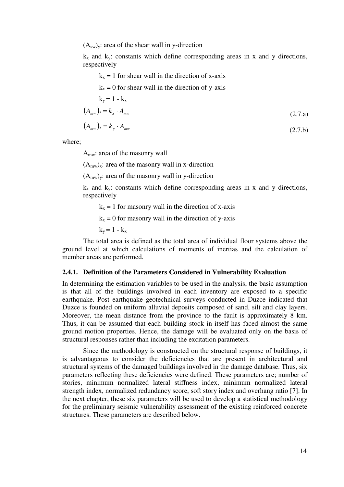$(A<sub>sw</sub>)<sub>y</sub>$ : area of the shear wall in y-direction

 $k_x$  and  $k_y$ : constants which define corresponding areas in x and y directions, respectively

 $k_x = 1$  for shear wall in the direction of x-axis

 $k_x = 0$  for shear wall in the direction of y-axis

$$
k_y = 1 - k_x
$$
  
\n
$$
(A_{mw})_x = k_x \cdot A_{mw}
$$
  
\n
$$
(2.7.3)
$$

$$
(A_{mw})_y = k_y \cdot A_{mw} \tag{2.7.b}
$$

where;

Amw: area of the masonry wall

 $(A<sub>mw</sub>)<sub>x</sub>$ : area of the masonry wall in x-direction

 $(A<sub>mw</sub>)<sub>y</sub>$ : area of the masonry wall in y-direction

 $k_x$  and  $k_y$ : constants which define corresponding areas in x and y directions, respectively

 $k_x = 1$  for masonry wall in the direction of x-axis

 $k_x = 0$  for masonry wall in the direction of y-axis

 $k_y = 1 - k_x$ 

The total area is defined as the total area of individual floor systems above the ground level at which calculations of moments of inertias and the calculation of member areas are performed.

#### **2.4.1. Definition of the Parameters Considered in Vulnerability Evaluation**

In determining the estimation variables to be used in the analysis, the basic assumption is that all of the buildings involved in each inventory are exposed to a specific earthquake. Post earthquake geotechnical surveys conducted in Duzce indicated that Duzce is founded on uniform alluvial deposits composed of sand, silt and clay layers. Moreover, the mean distance from the province to the fault is approximately 8 km. Thus, it can be assumed that each building stock in itself has faced almost the same ground motion properties. Hence, the damage will be evaluated only on the basis of structural responses rather than including the excitation parameters.

Since the methodology is constructed on the structural response of buildings, it is advantageous to consider the deficiencies that are present in architectural and structural systems of the damaged buildings involved in the damage database. Thus, six parameters reflecting these deficiencies were defined. These parameters are; number of stories, minimum normalized lateral stiffness index, minimum normalized lateral strength index, normalized redundancy score, soft story index and overhang ratio [7]. In the next chapter, these six parameters will be used to develop a statistical methodology for the preliminary seismic vulnerability assessment of the existing reinforced concrete structures. These parameters are described below.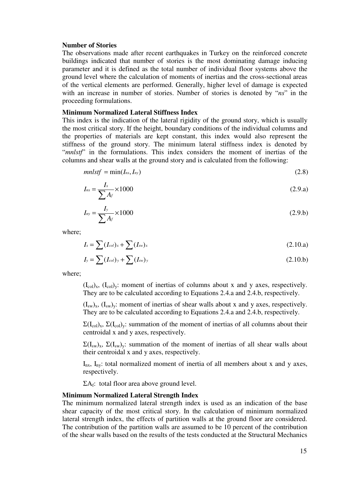#### **Number of Stories**

The observations made after recent earthquakes in Turkey on the reinforced concrete buildings indicated that number of stories is the most dominating damage inducing parameter and it is defined as the total number of individual floor systems above the ground level where the calculation of moments of inertias and the cross-sectional areas of the vertical elements are performed. Generally, higher level of damage is expected with an increase in number of stories. Number of stories is denoted by "*ns*" in the proceeding formulations.

#### **Minimum Normalized Lateral Stiffness Index**

This index is the indication of the lateral rigidity of the ground story, which is usually the most critical story. If the height, boundary conditions of the individual columns and the properties of materials are kept constant, this index would also represent the stiffness of the ground story. The minimum lateral stiffness index is denoted by "*mnlstf*" in the formulations. This index considers the moment of inertias of the columns and shear walls at the ground story and is calculated from the following:

$$
mnlstf = \min(I_{nx}, I_{ny})
$$
\n(2.8)

$$
I_{nx} = \frac{I_x}{\sum A_f} \times 1000
$$
 (2.9.a)

$$
I_{ny} = \frac{I_y}{\sum A_f} \times 1000
$$
 (2.9.b)

where;

$$
I_x = \sum (I_{col})_x + \sum (I_{sw})_x \tag{2.10.a}
$$

$$
I_{y} = \sum (I_{col})_{y} + \sum (I_{sw})_{y}
$$
 (2.10.b)

where;

 $(L_{col})_x$ ,  $(L_{col})_y$ : moment of inertias of columns about x and y axes, respectively. They are to be calculated according to Equations 2.4.a and 2.4.b, respectively.

 $(I_{sw})_x$ ,  $(I_{sw})_y$ : moment of inertias of shear walls about x and y axes, respectively. They are to be calculated according to Equations 2.4.a and 2.4.b, respectively.

 $\Sigma(I_{\text{col}})_{x}$ ,  $\Sigma(I_{\text{col}})_{y}$ : summation of the moment of inertias of all columns about their centroidal x and y axes, respectively.

 $\Sigma(I_{sw})_x$ ,  $\Sigma(I_{sw})_y$ : summation of the moment of inertias of all shear walls about their centroidal x and y axes, respectively.

 $I_{nx}$ ,  $I_{ny}$ : total normalized moment of inertia of all members about x and y axes, respectively.

 $\Sigma A_f$ : total floor area above ground level.

#### **Minimum Normalized Lateral Strength Index**

The minimum normalized lateral strength index is used as an indication of the base shear capacity of the most critical story. In the calculation of minimum normalized lateral strength index, the effects of partition walls at the ground floor are considered. The contribution of the partition walls are assumed to be 10 percent of the contribution of the shear walls based on the results of the tests conducted at the Structural Mechanics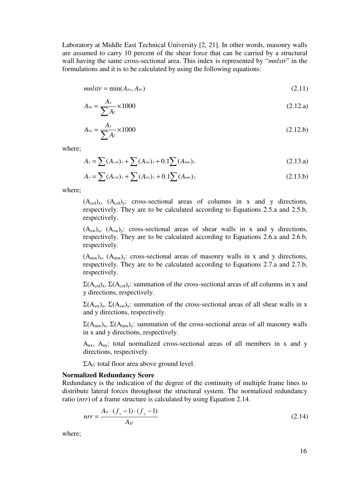Laboratory at Middle East Technical University [2, 21]. In other words, masonry walls are assumed to carry 10 percent of the shear force that can be carried by a structural wall having the same cross-sectional area. This index is represented by "*mnlstr*" in the formulations and it is to be calculated by using the following equations:

$$
mnlstr = \min(A_{nx}, A_{ny})
$$
\n(2.11)

$$
A_{nx} = \frac{A_x}{\sum A_f} \times 1000
$$
\n
$$
(2.12.a)
$$

$$
A_{ny} = \frac{A_y}{\sum A_f} \times 1000
$$
 (2.12.b)

where;

$$
A_x = \sum (A_{col})_x + \sum (A_{sw})_x + 0.1 \sum (A_{mw})_x
$$
 (2.13.a)

$$
A_{y} = \sum (A_{col})_{y} + \sum (A_{sw})_{y} + 0.1 \sum (A_{mw})_{y}
$$
 (2.13.b)

where;

 $(A_{col})_x$ ,  $(A_{col})_y$ : cross-sectional areas of columns in x and y directions, respectively. They are to be calculated according to Equations 2.5.a and 2.5.b, respectively.

 $(A_{sw})_x$ ,  $(A_{sw})_y$ : cross-sectional areas of shear walls in x and y directions, respectively. They are to be calculated according to Equations 2.6.a and 2.6.b, respectively.

 $(A_{mw})_x$ ,  $(A_{mw})_y$ : cross-sectional areas of masonry walls in x and y directions, respectively. They are to be calculated according to Equations 2.7.a and 2.7.b, respectively.

 $\Sigma(A_{\text{col}})_x$ ,  $\Sigma(A_{\text{col}})_y$ : summation of the cross-sectional areas of all columns in x and y directions, respectively.

 $\Sigma(A_{sw})_x$ ,  $\Sigma(A_{sw})_y$ : summation of the cross-sectional areas of all shear walls in x and y directions, respectively.

 $\Sigma(A_{mw})_x$ ,  $\Sigma(A_{mw})_y$ : summation of the cross-sectional areas of all masonry walls in x and y directions, respectively.

Anx, Any: total normalized cross-sectional areas of all members in x and y directions, respectively.

 $\Sigma A_f$ : total floor area above ground level.

#### **Normalized Redundancy Score**

Redundancy is the indication of the degree of the continuity of multiple frame lines to distribute lateral forces throughout the structural system. The normalized redundancy ratio (*nrr*) of a frame structure is calculated by using Equation 2.14.

$$
nrr = \frac{A_{tr} \cdot (f_x - 1) \cdot (f_y - 1)}{A_{sf}} \tag{2.14}
$$

where;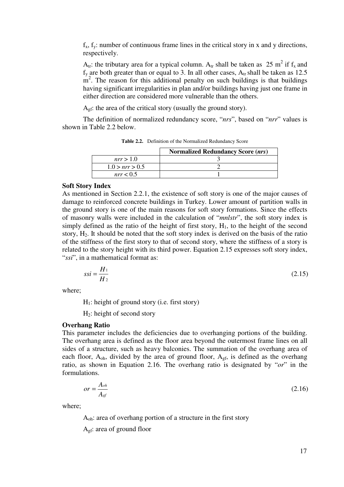$f_x$ ,  $f_y$ : number of continuous frame lines in the critical story in x and y directions, respectively.

 $A_{tr}$ : the tributary area for a typical column.  $A_{tr}$  shall be taken as 25 m<sup>2</sup> if  $f_x$  and  $f_y$  are both greater than or equal to 3. In all other cases,  $A_{tr}$  shall be taken as 12.5  $m<sup>2</sup>$ . The reason for this additional penalty on such buildings is that buildings having significant irregularities in plan and/or buildings having just one frame in either direction are considered more vulnerable than the others.

A<sub>gf</sub>: the area of the critical story (usually the ground story).

The definition of normalized redundancy score, "*nrs*", based on "*nrr*" values is shown in Table 2.2 below.

|                | <b>Normalized Redundancy Score (nrs)</b> |
|----------------|------------------------------------------|
| nrr > 1.0      |                                          |
| 1.0 > nr > 0.5 |                                          |
| nrr < 0.5      |                                          |

**Table 2.2.** Definition of the Normalized Redundancy Score

#### **Soft Story Index**

As mentioned in Section 2.2.1, the existence of soft story is one of the major causes of damage to reinforced concrete buildings in Turkey. Lower amount of partition walls in the ground story is one of the main reasons for soft story formations. Since the effects of masonry walls were included in the calculation of "*mnlstr*", the soft story index is simply defined as the ratio of the height of first story,  $H<sub>1</sub>$ , to the height of the second story,  $H_2$ . It should be noted that the soft story index is derived on the basis of the ratio of the stiffness of the first story to that of second story, where the stiffness of a story is related to the story height with its third power. Equation 2.15 expresses soft story index, "*ssi*", in a mathematical format as:

$$
ssi = \frac{H_1}{H_2} \tag{2.15}
$$

where;

 $H<sub>1</sub>$ : height of ground story (i.e. first story)

 $H_2$ : height of second story

#### **Overhang Ratio**

This parameter includes the deficiencies due to overhanging portions of the building. The overhang area is defined as the floor area beyond the outermost frame lines on all sides of a structure, such as heavy balconies. The summation of the overhang area of each floor,  $A_{oh}$ , divided by the area of ground floor,  $A_{gf}$ , is defined as the overhang ratio, as shown in Equation 2.16. The overhang ratio is designated by "*or*" in the formulations.

$$
or = \frac{A_{oh}}{A_{sf}}\tag{2.16}
$$

where;

Aoh: area of overhang portion of a structure in the first story

Agf: area of ground floor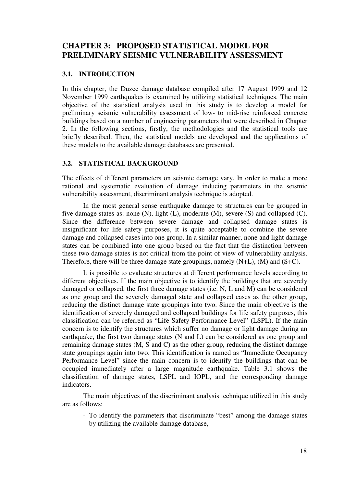# **CHAPTER 3: PROPOSED STATISTICAL MODEL FOR PRELIMINARY SEISMIC VULNERABILITY ASSESSMENT**

#### **3.1. INTRODUCTION**

In this chapter, the Duzce damage database compiled after 17 August 1999 and 12 November 1999 earthquakes is examined by utilizing statistical techniques. The main objective of the statistical analysis used in this study is to develop a model for preliminary seismic vulnerability assessment of low- to mid-rise reinforced concrete buildings based on a number of engineering parameters that were described in Chapter 2. In the following sections, firstly, the methodologies and the statistical tools are briefly described. Then, the statistical models are developed and the applications of these models to the available damage databases are presented.

#### **3.2. STATISTICAL BACKGROUND**

The effects of different parameters on seismic damage vary. In order to make a more rational and systematic evaluation of damage inducing parameters in the seismic vulnerability assessment, discriminant analysis technique is adopted.

In the most general sense earthquake damage to structures can be grouped in five damage states as: none (N), light (L), moderate (M), severe (S) and collapsed (C). Since the difference between severe damage and collapsed damage states is insignificant for life safety purposes, it is quite acceptable to combine the severe damage and collapsed cases into one group. In a similar manner, none and light damage states can be combined into one group based on the fact that the distinction between these two damage states is not critical from the point of view of vulnerability analysis. Therefore, there will be three damage state groupings, namely (N+L), (M) and (S+C).

It is possible to evaluate structures at different performance levels according to different objectives. If the main objective is to identify the buildings that are severely damaged or collapsed, the first three damage states (i.e. N, L and M) can be considered as one group and the severely damaged state and collapsed cases as the other group, reducing the distinct damage state groupings into two. Since the main objective is the identification of severely damaged and collapsed buildings for life safety purposes, this classification can be referred as "Life Safety Performance Level" (LSPL). If the main concern is to identify the structures which suffer no damage or light damage during an earthquake, the first two damage states (N and L) can be considered as one group and remaining damage states (M, S and C) as the other group, reducing the distinct damage state groupings again into two. This identification is named as "Immediate Occupancy Performance Level" since the main concern is to identify the buildings that can be occupied immediately after a large magnitude earthquake. Table 3.1 shows the classification of damage states, LSPL and IOPL, and the corresponding damage indicators.

The main objectives of the discriminant analysis technique utilized in this study are as follows:

- To identify the parameters that discriminate "best" among the damage states by utilizing the available damage database,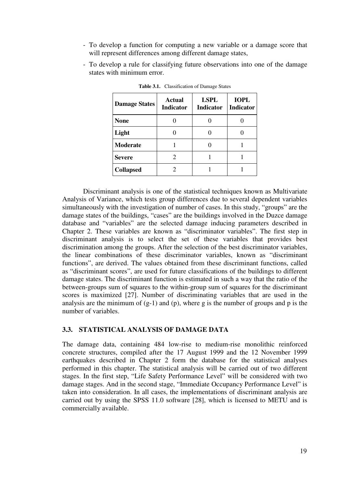- To develop a function for computing a new variable or a damage score that will represent differences among different damage states,
- To develop a rule for classifying future observations into one of the damage states with minimum error.

| <b>Damage States</b> | <b>Actual</b><br><b>Indicator</b> | <b>LSPL</b><br><b>Indicator</b> | <b>IOPL</b><br><b>Indicator</b> |
|----------------------|-----------------------------------|---------------------------------|---------------------------------|
| <b>None</b>          |                                   |                                 |                                 |
| Light                |                                   |                                 |                                 |
| <b>Moderate</b>      |                                   |                                 |                                 |
| <b>Severe</b>        |                                   |                                 |                                 |
| <b>Collapsed</b>     |                                   |                                 |                                 |

**Table 3.1.** Classification of Damage States

Discriminant analysis is one of the statistical techniques known as Multivariate Analysis of Variance, which tests group differences due to several dependent variables simultaneously with the investigation of number of cases. In this study, "groups" are the damage states of the buildings, "cases" are the buildings involved in the Duzce damage database and "variables" are the selected damage inducing parameters described in Chapter 2. These variables are known as "discriminator variables". The first step in discriminant analysis is to select the set of these variables that provides best discrimination among the groups. After the selection of the best discriminator variables, the linear combinations of these discriminator variables, known as "discriminant functions", are derived. The values obtained from these discriminant functions, called as "discriminant scores", are used for future classifications of the buildings to different damage states. The discriminant function is estimated in such a way that the ratio of the between-groups sum of squares to the within-group sum of squares for the discriminant scores is maximized [27]. Number of discriminating variables that are used in the analysis are the minimum of  $(g-1)$  and  $(p)$ , where g is the number of groups and p is the number of variables.

#### **3.3. STATISTICAL ANALYSIS OF DAMAGE DATA**

The damage data, containing 484 low-rise to medium-rise monolithic reinforced concrete structures, compiled after the 17 August 1999 and the 12 November 1999 earthquakes described in Chapter 2 form the database for the statistical analyses performed in this chapter. The statistical analysis will be carried out of two different stages. In the first step, "Life Safety Performance Level" will be considered with two damage stages. And in the second stage, "Immediate Occupancy Performance Level" is taken into consideration. In all cases, the implementations of discriminant analysis are carried out by using the SPSS 11.0 software [28], which is licensed to METU and is commercially available.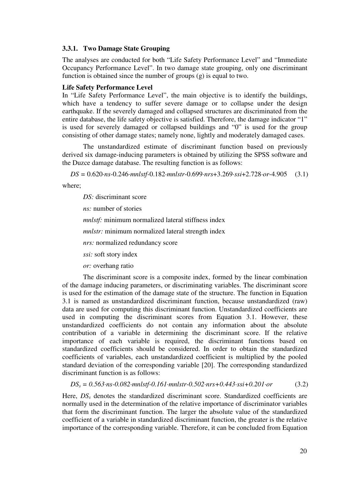#### **3.3.1. Two Damage State Grouping**

The analyses are conducted for both "Life Safety Performance Level" and "Immediate Occupancy Performance Level". In two damage state grouping, only one discriminant function is obtained since the number of groups (g) is equal to two.

#### **Life Safety Performance Level**

In "Life Safety Performance Level", the main objective is to identify the buildings, which have a tendency to suffer severe damage or to collapse under the design earthquake. If the severely damaged and collapsed structures are discriminated from the entire database, the life safety objective is satisfied. Therefore, the damage indicator "1" is used for severely damaged or collapsed buildings and "0" is used for the group consisting of other damage states; namely none, lightly and moderately damaged cases.

The unstandardized estimate of discriminant function based on previously derived six damage-inducing parameters is obtained by utilizing the SPSS software and the Duzce damage database. The resulting function is as follows:

*DS =* 0.620·*ns*-0.246·*mnlstf-*0.182·*mnlstr*-0.699·*nrs*+3.269·*ssi*+2.728·*or*-4.905 (3.1)

where;

*DS:* discriminant score

*ns:* number of stories

*mnlstf:* minimum normalized lateral stiffness index

*mnlstr:* minimum normalized lateral strength index

*nrs:* normalized redundancy score

- *ssi:* soft story index
- *or:* overhang ratio

The discriminant score is a composite index, formed by the linear combination of the damage inducing parameters, or discriminating variables. The discriminant score is used for the estimation of the damage state of the structure. The function in Equation 3.1 is named as unstandardized discriminant function, because unstandardized (raw) data are used for computing this discriminant function. Unstandardized coefficients are used in computing the discriminant scores from Equation 3.1. However, these unstandardized coefficients do not contain any information about the absolute contribution of a variable in determining the discriminant score. If the relative importance of each variable is required, the discriminant functions based on standardized coefficients should be considered. In order to obtain the standardized coefficients of variables, each unstandardized coefficient is multiplied by the pooled standard deviation of the corresponding variable [20]. The corresponding standardized discriminant function is as follows:

```
DSs = 0.563·ns-0.082·mnlstf-0.161·mnlstr-0.502·nrs+0.443·ssi+0.201·or (3.2)
```
Here, *DSs* denotes the standardized discriminant score. Standardized coefficients are normally used in the determination of the relative importance of discriminator variables that form the discriminant function. The larger the absolute value of the standardized coefficient of a variable in standardized discriminant function, the greater is the relative importance of the corresponding variable. Therefore, it can be concluded from Equation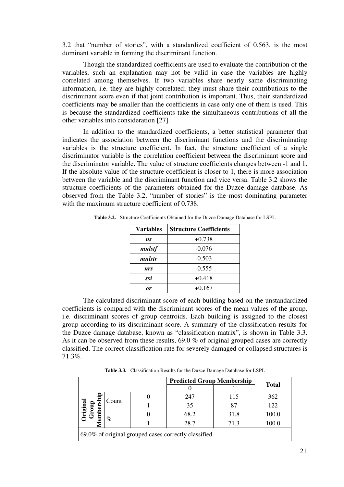3.2 that "number of stories", with a standardized coefficient of 0.563, is the most dominant variable in forming the discriminant function.

Though the standardized coefficients are used to evaluate the contribution of the variables, such an explanation may not be valid in case the variables are highly correlated among themselves. If two variables share nearly same discriminating information, i.e. they are highly correlated; they must share their contributions to the discriminant score even if that joint contribution is important. Thus, their standardized coefficients may be smaller than the coefficients in case only one of them is used. This is because the standardized coefficients take the simultaneous contributions of all the other variables into consideration [27].

In addition to the standardized coefficients, a better statistical parameter that indicates the association between the discriminant functions and the discriminating variables is the structure coefficient. In fact, the structure coefficient of a single discriminator variable is the correlation coefficient between the discriminant score and the discriminator variable. The value of structure coefficients changes between -1 and 1. If the absolute value of the structure coefficient is closer to 1, there is more association between the variable and the discriminant function and vice versa. Table 3.2 shows the structure coefficients of the parameters obtained for the Duzce damage database. As observed from the Table 3.2, "number of stories" is the most dominating parameter with the maximum structure coefficient of 0.738.

| <b>Variables</b> | <b>Structure Coefficients</b> |
|------------------|-------------------------------|
| ns               | $+0.738$                      |
| mnlstf           | $-0.076$                      |
| mnlstr           | $-0.503$                      |
| nrs              | $-0.555$                      |
| ssi              | $+0.418$                      |
|                  | $+0.167$                      |

**Table 3.2.** Structure Coefficients Obtained for the Duzce Damage Database for LSPL

The calculated discriminant score of each building based on the unstandardized coefficients is compared with the discriminant scores of the mean values of the group, i.e. discriminant scores of group centroids. Each building is assigned to the closest group according to its discriminant score. A summary of the classification results for the Duzce damage database, known as "classification matrix", is shown in Table 3.3. As it can be observed from these results, 69.0 % of original grouped cases are correctly classified. The correct classification rate for severely damaged or collapsed structures is 71.3%.

**Table 3.3.** Classification Results for the Duzce Damage Database for LSPL

|                                                      |                       |  | <b>Predicted Group Membership</b> |      |              |
|------------------------------------------------------|-----------------------|--|-----------------------------------|------|--------------|
|                                                      |                       |  |                                   |      | <b>Total</b> |
|                                                      | Count                 |  | 247                               | 115  | 362          |
|                                                      |                       |  | 35                                |      | 122          |
| embership<br>Original<br>Group                       | $\%$                  |  | 68.2                              | 31.8 | 100.0        |
|                                                      | 28.7<br>100.0<br>71.3 |  |                                   |      |              |
| 69.0% of original grouped cases correctly classified |                       |  |                                   |      |              |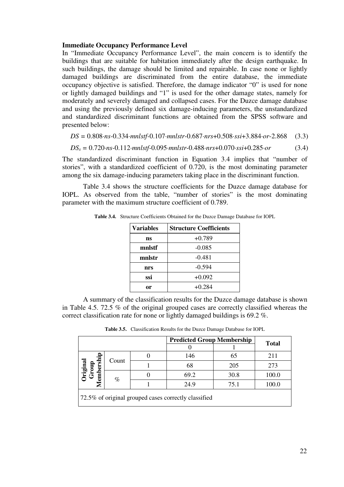#### **Immediate Occupancy Performance Level**

In "Immediate Occupancy Performance Level", the main concern is to identify the buildings that are suitable for habitation immediately after the design earthquake. In such buildings, the damage should be limited and repairable. In case none or lightly damaged buildings are discriminated from the entire database, the immediate occupancy objective is satisfied. Therefore, the damage indicator "0" is used for none or lightly damaged buildings and "1" is used for the other damage states, namely for moderately and severely damaged and collapsed cases. For the Duzce damage database and using the previously defined six damage-inducing parameters, the unstandardized and standardized discriminant functions are obtained from the SPSS software and presented below:

*DS =* 0.808·*ns*-0.334·*mnlstf-*0.107·*mnlstr*-0.687·*nrs*+0.508·*ssi*+3.884·*or*-2.868 (3.3)

$$
DS_s = 0.720 \cdot ns - 0.112 \cdot mnlstf - 0.095 \cdot mnlstr - 0.488 \cdot nrs + 0.070 \cdot ssi + 0.285 \cdot or \tag{3.4}
$$

The standardized discriminant function in Equation 3.4 implies that "number of stories", with a standardized coefficient of 0.720, is the most dominating parameter among the six damage-inducing parameters taking place in the discriminant function.

Table 3.4 shows the structure coefficients for the Duzce damage database for IOPL. As observed from the table, "number of stories" is the most dominating parameter with the maximum structure coefficient of 0.789.

| Variables | <b>Structure Coefficients</b> |
|-----------|-------------------------------|
| ns        | $+0.789$                      |
| mnlstf    | $-0.085$                      |
| mnlstr    | $-0.481$                      |
| nrs       | $-0.594$                      |
| ssi       | $+0.092$                      |
|           | $+0.284$                      |

**Table 3.4.** Structure Coefficients Obtained for the Duzce Damage Database for IOPL

A summary of the classification results for the Duzce damage database is shown in Table 4.5. 72.5 % of the original grouped cases are correctly classified whereas the correct classification rate for none or lightly damaged buildings is 69.2 %.

**Table 3.5.** Classification Results for the Duzce Damage Database for IOPL

|                                |       | <b>Predicted Group Membership</b>                    |      | <b>Total</b> |
|--------------------------------|-------|------------------------------------------------------|------|--------------|
|                                |       |                                                      |      |              |
|                                | Count | 146                                                  | 65   | 211          |
|                                |       | 68                                                   | 205  | 273          |
| Original<br>Group<br>embership |       | 69.2                                                 | 30.8 | 100.0        |
|                                | $\%$  | 24.9                                                 | 75.1 | 100.0        |
|                                |       | 72.5% of original grouped cases correctly classified |      |              |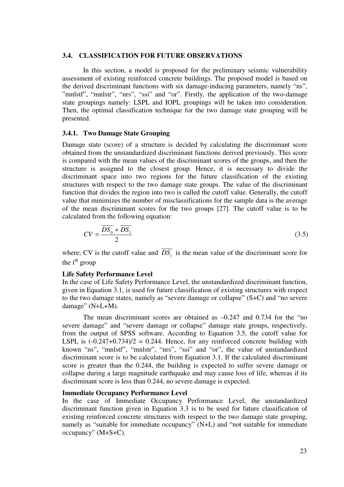#### **3.4. CLASSIFICATION FOR FUTURE OBSERVATIONS**

In this section, a model is proposed for the preliminary seismic vulnerability assessment of existing reinforced concrete buildings. The proposed model is based on the derived discriminant functions with six damage-inducing parameters, namely "ns", "mnlstf", "mnlstr", "nrs", "ssi" and "or". Firstly, the application of the two-damage state groupings namely: LSPL and IOPL groupings will be taken into consideration. Then, the optimal classification technique for the two damage state grouping will be presented.

#### **3.4.1. Two Damage State Grouping**

Damage state (score) of a structure is decided by calculating the discriminant score obtained from the unstandardized discriminant functions derived previously. This score is compared with the mean values of the discriminant scores of the groups, and then the structure is assigned to the closest group. Hence, it is necessary to divide the discriminant space into two regions for the future classification of the existing structures with respect to the two damage state groups. The value of the discriminant function that divides the region into two is called the cutoff value. Generally, the cutoff value that minimizes the number of misclassifications for the sample data is the average of the mean discriminant scores for the two groups [27]. The cutoff value is to be calculated from the following equation:

$$
CV = \frac{\overline{DS_0} + \overline{DS_1}}{2} \tag{3.5}
$$

where; CV is the cutoff value and  $DS_i$  is the mean value of the discriminant score for the  $i<sup>th</sup>$  group

#### **Life Safety Performance Level**

In the case of Life Safety Performance Level, the unstandardized discriminant function, given in Equation 3.1, is used for future classification of existing structures with respect to the two damage states, namely as "severe damage or collapse" (S+C) and "no severe damage" (N+L+M).

The mean discriminant scores are obtained as –0.247 and 0.734 for the "no severe damage" and "severe damage or collapse" damage state groups, respectively, from the output of SPSS software. According to Equation 3.5, the cutoff value for LSPL is  $(-0.247+0.734)/2 = 0.244$ . Hence, for any reinforced concrete building with known "ns", "mnlstf", "mnlstr", "nrs", "ssi" and "or", the value of unstandardized discriminant score is to be calculated from Equation 3.1. If the calculated discriminant score is greater than the 0.244, the building is expected to suffer severe damage or collapse during a large magnitude earthquake and may cause loss of life, whereas if its discriminant score is less than 0.244, no severe damage is expected.

#### **Immediate Occupancy Performance Level**

In the case of Immediate Occupancy Performance Level, the unstandardized discriminant function given in Equation 3.3 is to be used for future classification of existing reinforced concrete structures with respect to the two damage state grouping, namely as "suitable for immediate occupancy" (N+L) and "not suitable for immediate occupancy" (M+S+C).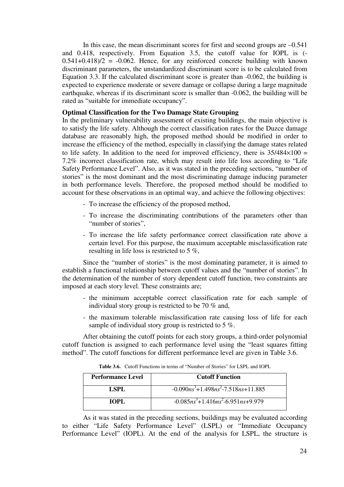In this case, the mean discriminant scores for first and second groups are  $-0.541$ and 0.418, respectively. From Equation 3.5, the cutoff value for IOPL is (-  $0.541+0.418/2 = -0.062$ . Hence, for any reinforced concrete building with known discriminant parameters, the unstandardized discriminant score is to be calculated from Equation 3.3. If the calculated discriminant score is greater than -0.062, the building is expected to experience moderate or severe damage or collapse during a large magnitude earthquake, whereas if its discriminant score is smaller than -0.062, the building will be rated as "suitable for immediate occupancy".

#### **Optimal Classification for the Two Damage State Grouping**

In the preliminary vulnerability assessment of existing buildings, the main objective is to satisfy the life safety. Although the correct classification rates for the Duzce damage database are reasonably high, the proposed method should be modified in order to increase the efficiency of the method, especially in classifying the damage states related to life safety. In addition to the need for improved efficiency, there is  $35/484 \times 100 =$ 7.2% incorrect classification rate, which may result into life loss according to "Life Safety Performance Level". Also, as it was stated in the preceding sections, "number of stories" is the most dominant and the most discriminating damage inducing parameter in both performance levels. Therefore, the proposed method should be modified to account for these observations in an optimal way, and achieve the following objectives:

- To increase the efficiency of the proposed method,
- To increase the discriminating contributions of the parameters other than "number of stories",
- To increase the life safety performance correct classification rate above a certain level. For this purpose, the maximum acceptable misclassification rate resulting in life loss is restricted to 5 %,

Since the "number of stories" is the most dominating parameter, it is aimed to establish a functional relationship between cutoff values and the "number of stories". In the determination of the number of story dependent cutoff function, two constraints are imposed at each story level. These constraints are;

- the minimum acceptable correct classification rate for each sample of individual story group is restricted to be 70 % and,
- the maximum tolerable misclassification rate causing loss of life for each sample of individual story group is restricted to 5 %.

After obtaining the cutoff points for each story groups, a third-order polynomial cutoff function is assigned to each performance level using the "least squares fitting method". The cutoff functions for different performance level are given in Table 3.6.

| <b>Performance Level</b> | <b>Cutoff Function</b>                    |
|--------------------------|-------------------------------------------|
| LSPL                     | $-0.090ns^{3}+1.498ns^{2}-7.518ns+11.885$ |
| TOPL.                    | $-0.085ns^3+1.416ns^2-6.951ns+9.979$      |

**Table 3.6.** Cutoff Functions in terms of "Number of Stories" for LSPL and IOPL

As it was stated in the preceding sections, buildings may be evaluated according to either "Life Safety Performance Level" (LSPL) or "Immediate Occupancy Performance Level" (IOPL). At the end of the analysis for LSPL, the structure is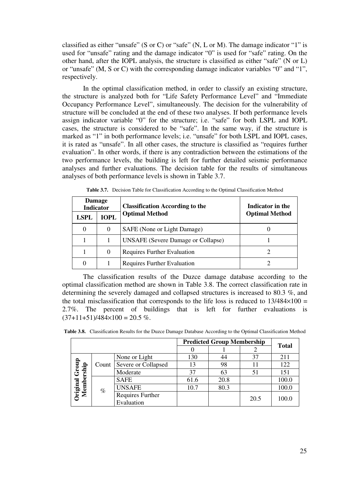classified as either "unsafe" (S or C) or "safe" (N, L or M). The damage indicator "1" is used for "unsafe" rating and the damage indicator "0" is used for "safe" rating. On the other hand, after the IOPL analysis, the structure is classified as either "safe" (N or L) or "unsafe" (M, S or C) with the corresponding damage indicator variables "0" and "1", respectively.

In the optimal classification method, in order to classify an existing structure, the structure is analyzed both for "Life Safety Performance Level" and "Immediate Occupancy Performance Level", simultaneously. The decision for the vulnerability of structure will be concluded at the end of these two analyses. If both performance levels assign indicator variable "0" for the structure; i.e. "safe" for both LSPL and IOPL cases, the structure is considered to be "safe". In the same way, if the structure is marked as "1" in both performance levels; i.e. "unsafe" for both LSPL and IOPL cases, it is rated as "unsafe". In all other cases, the structure is classified as "requires further evaluation". In other words, if there is any contradiction between the estimations of the two performance levels, the building is left for further detailed seismic performance analyses and further evaluations. The decision table for the results of simultaneous analyses of both performance levels is shown in Table 3.7.

| <b>Damage</b><br>Indicator |             | <b>Classification According to the</b>    | Indicator in the      |
|----------------------------|-------------|-------------------------------------------|-----------------------|
| <b>LSPL</b>                | <b>IOPL</b> | <b>Optimal Method</b>                     | <b>Optimal Method</b> |
| $\Omega$                   | $\Omega$    | SAFE (None or Light Damage)               |                       |
|                            |             | <b>UNSAFE</b> (Severe Damage or Collapse) |                       |
|                            | $\Omega$    | <b>Requires Further Evaluation</b>        |                       |
| 0                          |             | <b>Requires Further Evaluation</b>        |                       |

**Table 3.7.** Decision Table for Classification According to the Optimal Classification Method

The classification results of the Duzce damage database according to the optimal classification method are shown in Table 3.8. The correct classification rate in determining the severely damaged and collapsed structures is increased to 80.3 %, and the total misclassification that corresponds to the life loss is reduced to  $13/484\times100 =$ 2.7%. The percent of buildings that is left for further evaluations is  $(37+11+51)/484\times100 = 20.5\%$ .

|            |       |                                |      | <b>Predicted Group Membership</b> |      | <b>Total</b> |
|------------|-------|--------------------------------|------|-----------------------------------|------|--------------|
|            |       |                                |      |                                   |      |              |
|            |       | None or Light                  | 130  | 44                                | 37   | 211          |
| dno.       | Count | Severe or Collapsed            | 13   | 98                                |      | 122          |
| 5          |       | Moderate                       | 37   | 63                                | 51   | 151          |
|            |       | <b>SAFE</b>                    | 61.6 | 20.8                              |      | 100.0        |
| Membership | $\%$  | <b>UNSAFE</b>                  | 10.7 | 80.3                              |      | 100.0        |
| Original   |       | Requires Further<br>Evaluation |      |                                   | 20.5 | 100.0        |

**Table 3.8.** Classification Results for the Duzce Damage Database According to the Optimal Classification Method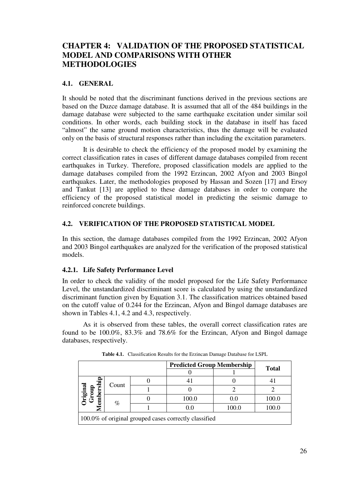# **CHAPTER 4: VALIDATION OF THE PROPOSED STATISTICAL MODEL AND COMPARISONS WITH OTHER METHODOLOGIES**

#### **4.1. GENERAL**

It should be noted that the discriminant functions derived in the previous sections are based on the Duzce damage database. It is assumed that all of the 484 buildings in the damage database were subjected to the same earthquake excitation under similar soil conditions. In other words, each building stock in the database in itself has faced "almost" the same ground motion characteristics, thus the damage will be evaluated only on the basis of structural responses rather than including the excitation parameters.

It is desirable to check the efficiency of the proposed model by examining the correct classification rates in cases of different damage databases compiled from recent earthquakes in Turkey. Therefore, proposed classification models are applied to the damage databases compiled from the 1992 Erzincan, 2002 Afyon and 2003 Bingol earthquakes. Later, the methodologies proposed by Hassan and Sozen [17] and Ersoy and Tankut [13] are applied to these damage databases in order to compare the efficiency of the proposed statistical model in predicting the seismic damage to reinforced concrete buildings.

#### **4.2. VERIFICATION OF THE PROPOSED STATISTICAL MODEL**

In this section, the damage databases compiled from the 1992 Erzincan, 2002 Afyon and 2003 Bingol earthquakes are analyzed for the verification of the proposed statistical models.

# **4.2.1. Life Safety Performance Level**

In order to check the validity of the model proposed for the Life Safety Performance Level, the unstandardized discriminant score is calculated by using the unstandardized discriminant function given by Equation 3.1. The classification matrices obtained based on the cutoff value of 0.244 for the Erzincan, Afyon and Bingol damage databases are shown in Tables 4.1, 4.2 and 4.3, respectively.

As it is observed from these tables, the overall correct classification rates are found to be 100.0%, 83.3% and 78.6% for the Erzincan, Afyon and Bingol damage databases, respectively.

|                                                       |       |  | <b>Predicted Group Membership</b> |       | <b>Total</b> |  |  |
|-------------------------------------------------------|-------|--|-----------------------------------|-------|--------------|--|--|
|                                                       |       |  |                                   |       |              |  |  |
|                                                       | Count |  |                                   |       |              |  |  |
| <b>hriginal</b><br>Group                              |       |  |                                   |       |              |  |  |
| embership                                             | %     |  | 100.0                             | 0.0   | 100.0        |  |  |
|                                                       |       |  | 0.0                               | 100.0 | 100.0        |  |  |
| 100.0% of original grouped cases correctly classified |       |  |                                   |       |              |  |  |

**Table 4.1.** Classification Results for the Erzincan Damage Database for LSPL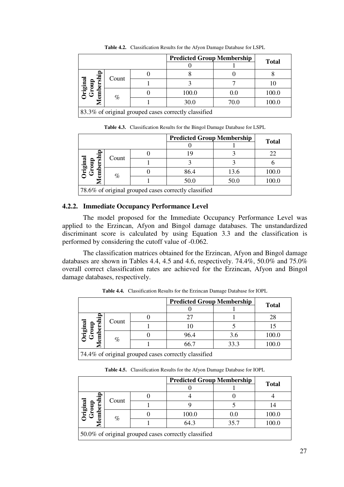|                                                      |       |  | <b>Predicted Group Membership</b> |      | <b>Total</b> |  |  |
|------------------------------------------------------|-------|--|-----------------------------------|------|--------------|--|--|
|                                                      |       |  |                                   |      |              |  |  |
| Original<br>Group<br>embership                       |       |  |                                   |      |              |  |  |
|                                                      | Count |  |                                   |      |              |  |  |
|                                                      | $\%$  |  | 100.0                             | 0.0  | 100.0        |  |  |
|                                                      |       |  | 30.0                              | 70.0 | 100.0        |  |  |
| 83.3% of original grouped cases correctly classified |       |  |                                   |      |              |  |  |

**Table 4.2.** Classification Results for the Afyon Damage Database for LSPL

**Table 4.3.** Classification Results for the Bingol Damage Database for LSPL

|                                                      |       |  | <b>Predicted Group Membership</b> |      | <b>Total</b> |  |  |
|------------------------------------------------------|-------|--|-----------------------------------|------|--------------|--|--|
|                                                      |       |  |                                   |      |              |  |  |
| <b>hriginal</b><br>Group<br>ಕಾ<br>ber                |       |  |                                   |      | 22           |  |  |
|                                                      | Count |  |                                   |      |              |  |  |
|                                                      | %     |  | 86.4                              | 13.6 | 100.0        |  |  |
|                                                      |       |  | 50.0                              | 50.0 | 100.0        |  |  |
| 78.6% of original grouped cases correctly classified |       |  |                                   |      |              |  |  |

# **4.2.2. Immediate Occupancy Performance Level**

The model proposed for the Immediate Occupancy Performance Level was applied to the Erzincan, Afyon and Bingol damage databases. The unstandardized discriminant score is calculated by using Equation 3.3 and the classification is performed by considering the cutoff value of -0.062.

The classification matrices obtained for the Erzincan, Afyon and Bingol damage databases are shown in Tables 4.4, 4.5 and 4.6, respectively. 74.4%, 50.0% and 75.0% overall correct classification rates are achieved for the Erzincan, Afyon and Bingol damage databases, respectively.

|                                                      |       |  | <b>Predicted Group Membership</b> |      | <b>Total</b> |  |  |  |
|------------------------------------------------------|-------|--|-----------------------------------|------|--------------|--|--|--|
|                                                      |       |  |                                   |      |              |  |  |  |
|                                                      | Count |  |                                   |      | 28           |  |  |  |
|                                                      |       |  |                                   |      |              |  |  |  |
| Original<br>Group<br>embership                       | $\%$  |  | 96.4                              | 3.6  | 100.0        |  |  |  |
|                                                      |       |  | 66.7                              | 33.3 | 100.0        |  |  |  |
| 74.4% of original grouped cases correctly classified |       |  |                                   |      |              |  |  |  |

**Table 4.4.** Classification Results for the Erzincan Damage Database for IOPL

**Table 4.5.** Classification Results for the Afyon Damage Database for IOPL

|                                                      |       |  | <b>Predicted Group Membership</b> |      |              |  |  |
|------------------------------------------------------|-------|--|-----------------------------------|------|--------------|--|--|
|                                                      |       |  |                                   |      | <b>Total</b> |  |  |
|                                                      |       |  |                                   |      |              |  |  |
| bershi                                               | Count |  |                                   |      |              |  |  |
| –<br>Original<br>Group                               | %     |  | 100.0                             | 0.0  | 100.0        |  |  |
|                                                      |       |  | 64.3                              | 35.7 | 100.0        |  |  |
| 50.0% of original grouped cases correctly classified |       |  |                                   |      |              |  |  |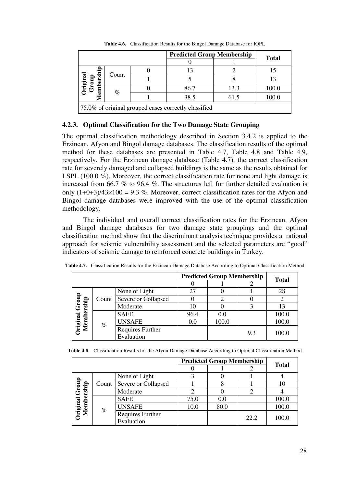|                                                      |       |  | <b>Predicted Group Membership</b> |      | <b>Total</b> |  |  |
|------------------------------------------------------|-------|--|-----------------------------------|------|--------------|--|--|
|                                                      |       |  |                                   |      |              |  |  |
|                                                      |       |  |                                   |      |              |  |  |
|                                                      | Count |  |                                   |      |              |  |  |
| Original<br>Group<br>embership                       | $\%$  |  | 86.7                              | 13.3 | 100.0        |  |  |
|                                                      |       |  | 38.5                              | 61.5 | 100.0        |  |  |
| 75.0% of original grouped cases correctly classified |       |  |                                   |      |              |  |  |

**Table 4.6.** Classification Results for the Bingol Damage Database for IOPL

#### **4.2.3. Optimal Classification for the Two Damage State Grouping**

The optimal classification methodology described in Section 3.4.2 is applied to the Erzincan, Afyon and Bingol damage databases. The classification results of the optimal method for these databases are presented in Table 4.7, Table 4.8 and Table 4.9, respectively. For the Erzincan damage database (Table 4.7), the correct classification rate for severely damaged and collapsed buildings is the same as the results obtained for LSPL (100.0 %). Moreover, the correct classification rate for none and light damage is increased from 66.7 % to 96.4 %. The structures left for further detailed evaluation is only  $(1+0+3)/43\times100 = 9.3$  %. Moreover, correct classification rates for the Afyon and Bingol damage databases were improved with the use of the optimal classification methodology.

The individual and overall correct classification rates for the Erzincan, Afyon and Bingol damage databases for two damage state groupings and the optimal classification method show that the discriminant analysis technique provides a rational approach for seismic vulnerability assessment and the selected parameters are "good" indicators of seismic damage to reinforced concrete buildings in Turkey.

|                            |                     |                                |      | <b>Predicted Group Membership</b> |     | <b>Total</b> |
|----------------------------|---------------------|--------------------------------|------|-----------------------------------|-----|--------------|
|                            |                     |                                |      |                                   |     |              |
|                            |                     | None or Light                  | 27   |                                   |     | 28           |
| l Group<br>ership<br>Count | Severe or Collapsed |                                |      |                                   |     |              |
|                            |                     | Moderate                       | 10   |                                   |     | 13           |
|                            |                     | <b>SAFE</b>                    | 96.4 | 0.0                               |     | 100.0        |
| Original<br>Membe          | $\%$                | <b>UNSAFE</b>                  | 0.0  | 100.0                             |     | 100.0        |
|                            |                     | Requires Further<br>Evaluation |      |                                   | 9.3 | 100.0        |

|  |  | Table 4.8. Classification Results for the Afyon Damage Database According to Optimal Classification Method |  |  |
|--|--|------------------------------------------------------------------------------------------------------------|--|--|
|  |  |                                                                                                            |  |  |

|                     |       |                     |      | <b>Predicted Group Membership</b> |      | <b>Total</b> |
|---------------------|-------|---------------------|------|-----------------------------------|------|--------------|
|                     |       |                     |      |                                   |      |              |
|                     |       | None or Light       |      |                                   |      |              |
|                     | Count | Severe or Collapsed |      |                                   |      |              |
| Group<br>lembership |       | Moderate            |      |                                   |      |              |
|                     |       | <b>SAFE</b>         | 75.0 | 0.0                               |      | 100.0        |
|                     | $\%$  | <b>UNSAFE</b>       | 10.0 | 80.0                              |      | 100.0        |
| Original            |       | Requires Further    |      |                                   | 22.2 | 100.0        |
|                     |       | Evaluation          |      |                                   |      |              |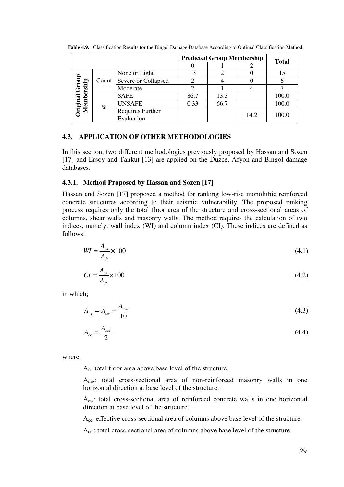|                                                                                                   |      |                           | <b>Predicted Group Membership</b> | <b>Total</b> |      |       |
|---------------------------------------------------------------------------------------------------|------|---------------------------|-----------------------------------|--------------|------|-------|
|                                                                                                   |      |                           |                                   |              |      |       |
|                                                                                                   |      | None or Light             | 13                                |              |      |       |
| al Grou<br>bership<br>$\overline{\mathbf{a}}$<br>$\overline{a}$<br>Origin<br>$\breve{\mathbf{z}}$ |      | Count Severe or Collapsed |                                   |              |      |       |
|                                                                                                   |      | Moderate                  |                                   |              |      |       |
|                                                                                                   | $\%$ | <b>SAFE</b>               | 86.7                              | 13.3         |      | 100.0 |
|                                                                                                   |      | <b>UNSAFE</b>             | 0.33                              | 66.7         |      | 100.0 |
|                                                                                                   |      | Requires Further          |                                   |              | 14.2 | 100.0 |
|                                                                                                   |      | Evaluation                |                                   |              |      |       |

**Table 4.9.** Classification Results for the Bingol Damage Database According to Optimal Classification Method

#### **4.3. APPLICATION OF OTHER METHODOLOGIES**

In this section, two different methodologies previously proposed by Hassan and Sozen [17] and Ersoy and Tankut [13] are applied on the Duzce, Afyon and Bingol damage databases.

#### **4.3.1. Method Proposed by Hassan and Sozen [17]**

Hassan and Sozen [17] proposed a method for ranking low-rise monolithic reinforced concrete structures according to their seismic vulnerability. The proposed ranking process requires only the total floor area of the structure and cross-sectional areas of columns, shear walls and masonry walls. The method requires the calculation of two indices, namely: wall index (WI) and column index (CI). These indices are defined as follows:

$$
WI = \frac{A_{wt}}{A_{ft}} \times 100
$$
\n
$$
\tag{4.1}
$$

$$
CI = \frac{A_{ce}}{A_{ft}} \times 100\tag{4.2}
$$

in which;

$$
A_{wt} = A_{cw} + \frac{A_{mw}}{10} \tag{4.3}
$$

$$
A_{ce} = \frac{A_{col}}{2} \tag{4.4}
$$

where;

 $A_{ft}$ : total floor area above base level of the structure.

Amw: total cross-sectional area of non-reinforced masonry walls in one horizontal direction at base level of the structure.

Acw: total cross-sectional area of reinforced concrete walls in one horizontal direction at base level of the structure.

Ace: effective cross-sectional area of columns above base level of the structure.

Acol: total cross-sectional area of columns above base level of the structure.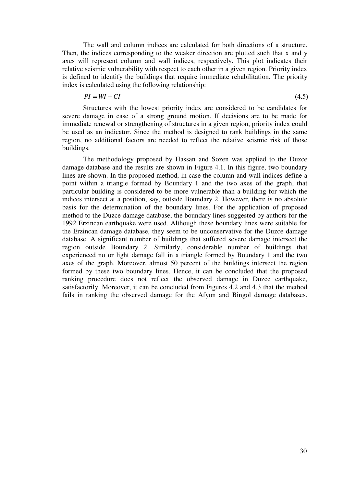The wall and column indices are calculated for both directions of a structure. Then, the indices corresponding to the weaker direction are plotted such that x and y axes will represent column and wall indices, respectively. This plot indicates their relative seismic vulnerability with respect to each other in a given region. Priority index is defined to identify the buildings that require immediate rehabilitation. The priority index is calculated using the following relationship:

$$
PI = WI + CI \tag{4.5}
$$

Structures with the lowest priority index are considered to be candidates for severe damage in case of a strong ground motion. If decisions are to be made for immediate renewal or strengthening of structures in a given region, priority index could be used as an indicator. Since the method is designed to rank buildings in the same region, no additional factors are needed to reflect the relative seismic risk of those buildings.

The methodology proposed by Hassan and Sozen was applied to the Duzce damage database and the results are shown in Figure 4.1. In this figure, two boundary lines are shown. In the proposed method, in case the column and wall indices define a point within a triangle formed by Boundary 1 and the two axes of the graph, that particular building is considered to be more vulnerable than a building for which the indices intersect at a position, say, outside Boundary 2. However, there is no absolute basis for the determination of the boundary lines. For the application of proposed method to the Duzce damage database, the boundary lines suggested by authors for the 1992 Erzincan earthquake were used. Although these boundary lines were suitable for the Erzincan damage database, they seem to be unconservative for the Duzce damage database. A significant number of buildings that suffered severe damage intersect the region outside Boundary 2. Similarly, considerable number of buildings that experienced no or light damage fall in a triangle formed by Boundary 1 and the two axes of the graph. Moreover, almost 50 percent of the buildings intersect the region formed by these two boundary lines. Hence, it can be concluded that the proposed ranking procedure does not reflect the observed damage in Duzce earthquake, satisfactorily. Moreover, it can be concluded from Figures 4.2 and 4.3 that the method fails in ranking the observed damage for the Afyon and Bingol damage databases.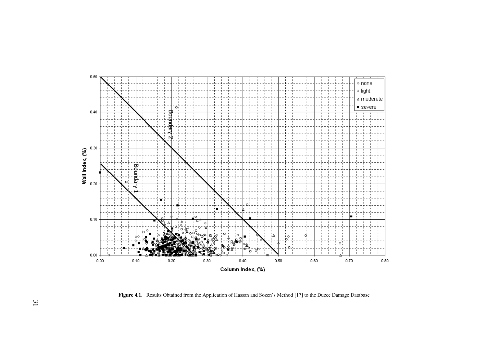

**Figure 4.1.** Results Obtained from the Application of Hassan and Sozen's Method [17] to the Duzce Damage Database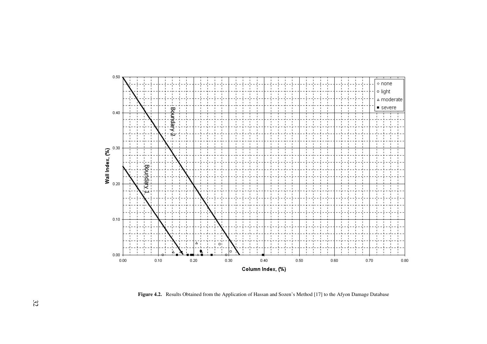

**Figure 4.2.** Results Obtained from the Application of Hassan and Sozen's Method [17] to the Afyon Damage Database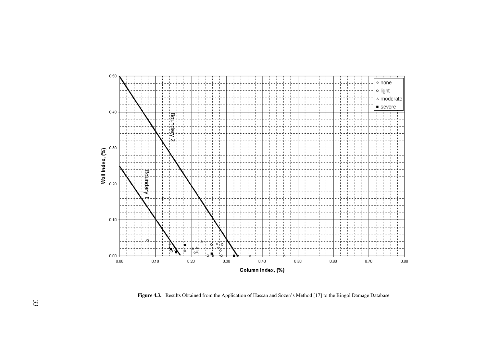

**Figure 4.3.** Results Obtained from the Application of Hassan and Sozen's Method [17] to the Bingol Damage Database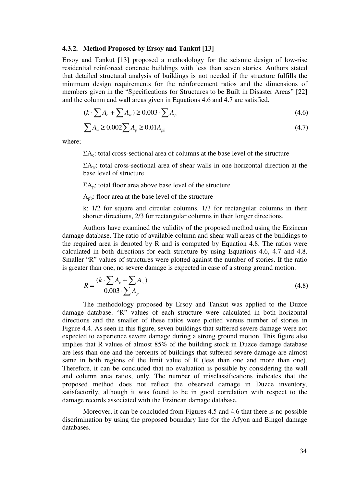#### **4.3.2. Method Proposed by Ersoy and Tankut [13]**

Ersoy and Tankut [13] proposed a methodology for the seismic design of low-rise residential reinforced concrete buildings with less than seven stories. Authors stated that detailed structural analysis of buildings is not needed if the structure fulfills the minimum design requirements for the reinforcement ratios and the dimensions of members given in the "Specifications for Structures to be Built in Disaster Areas" [22] and the column and wall areas given in Equations 4.6 and 4.7 are satisfied.

$$
(k \cdot \sum A_c + \sum A_w) \ge 0.003 \cdot \sum A_p \tag{4.6}
$$

$$
\sum A_{w} \ge 0.002 \sum A_{p} \ge 0.01 A_{pb}
$$
\n(4.7)

where;

 $\Sigma A_c$ : total cross-sectional area of columns at the base level of the structure

 $\Sigma A_w$ : total cross-sectional area of shear walls in one horizontal direction at the base level of structure

 $\Sigma A_p$ : total floor area above base level of the structure

 $A_{pb}$ : floor area at the base level of the structure

k: 1/2 for square and circular columns, 1/3 for rectangular columns in their shorter directions, 2/3 for rectangular columns in their longer directions.

Authors have examined the validity of the proposed method using the Erzincan damage database. The ratio of available column and shear wall areas of the buildings to the required area is denoted by R and is computed by Equation 4.8. The ratios were calculated in both directions for each structure by using Equations 4.6, 4.7 and 4.8. Smaller "R" values of structures were plotted against the number of stories. If the ratio is greater than one, no severe damage is expected in case of a strong ground motion.

$$
R = \frac{(k \cdot \sum A_c + \sum A_w)}{0.003 \cdot \sum A_p}
$$
\n(4.8)

The methodology proposed by Ersoy and Tankut was applied to the Duzce damage database. "R" values of each structure were calculated in both horizontal directions and the smaller of these ratios were plotted versus number of stories in Figure 4.4. As seen in this figure, seven buildings that suffered severe damage were not expected to experience severe damage during a strong ground motion. This figure also implies that R values of almost 85% of the building stock in Duzce damage database are less than one and the percents of buildings that suffered severe damage are almost same in both regions of the limit value of R (less than one and more than one). Therefore, it can be concluded that no evaluation is possible by considering the wall and column area ratios, only. The number of misclassifications indicates that the proposed method does not reflect the observed damage in Duzce inventory, satisfactorily, although it was found to be in good correlation with respect to the damage records associated with the Erzincan damage database.

Moreover, it can be concluded from Figures 4.5 and 4.6 that there is no possible discrimination by using the proposed boundary line for the Afyon and Bingol damage databases.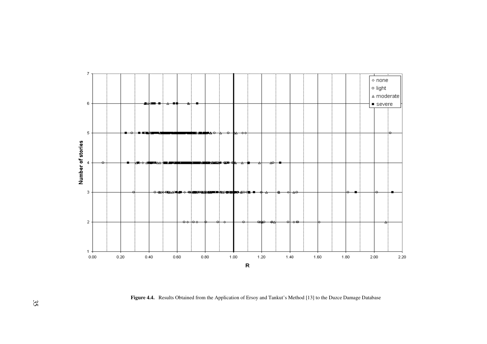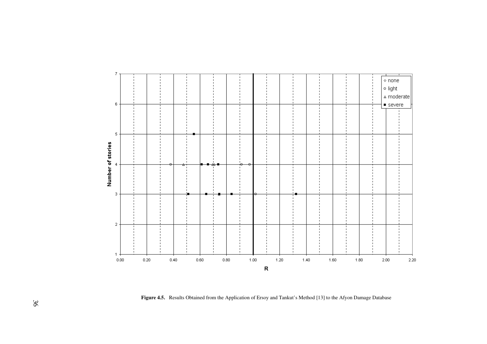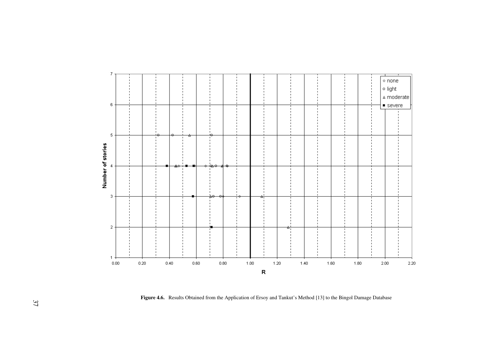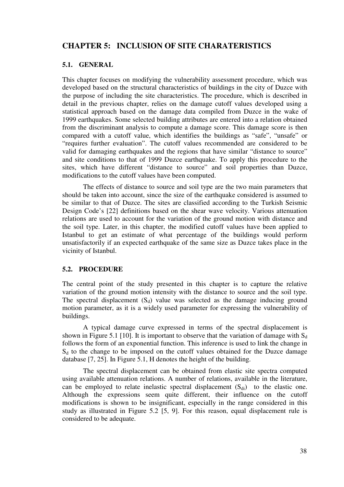# **CHAPTER 5: INCLUSION OF SITE CHARATERISTICS**

#### **5.1. GENERAL**

This chapter focuses on modifying the vulnerability assessment procedure, which was developed based on the structural characteristics of buildings in the city of Duzce with the purpose of including the site characteristics. The procedure, which is described in detail in the previous chapter, relies on the damage cutoff values developed using a statistical approach based on the damage data compiled from Duzce in the wake of 1999 earthquakes. Some selected building attributes are entered into a relation obtained from the discriminant analysis to compute a damage score. This damage score is then compared with a cutoff value, which identifies the buildings as "safe", "unsafe" or "requires further evaluation". The cutoff values recommended are considered to be valid for damaging earthquakes and the regions that have similar "distance to source" and site conditions to that of 1999 Duzce earthquake. To apply this procedure to the sites, which have different "distance to source" and soil properties than Duzce, modifications to the cutoff values have been computed.

The effects of distance to source and soil type are the two main parameters that should be taken into account, since the size of the earthquake considered is assumed to be similar to that of Duzce. The sites are classified according to the Turkish Seismic Design Code's [22] definitions based on the shear wave velocity. Various attenuation relations are used to account for the variation of the ground motion with distance and the soil type. Later, in this chapter, the modified cutoff values have been applied to Istanbul to get an estimate of what percentage of the buildings would perform unsatisfactorily if an expected earthquake of the same size as Duzce takes place in the vicinity of Istanbul.

#### **5.2. PROCEDURE**

The central point of the study presented in this chapter is to capture the relative variation of the ground motion intensity with the distance to source and the soil type. The spectral displacement  $(S_d)$  value was selected as the damage inducing ground motion parameter, as it is a widely used parameter for expressing the vulnerability of buildings.

A typical damage curve expressed in terms of the spectral displacement is shown in Figure 5.1 [10]. It is important to observe that the variation of damage with  $S_d$ follows the form of an exponential function. This inference is used to link the change in  $S_d$  to the change to be imposed on the cutoff values obtained for the Duzce damage database [7, 25]. In Figure 5.1, H denotes the height of the building.

The spectral displacement can be obtained from elastic site spectra computed using available attenuation relations. A number of relations, available in the literature, can be employed to relate inelastic spectral displacement  $(S_{di})$  to the elastic one. Although the expressions seem quite different, their influence on the cutoff modifications is shown to be insignificant, especially in the range considered in this study as illustrated in Figure 5.2 [5, 9]. For this reason, equal displacement rule is considered to be adequate.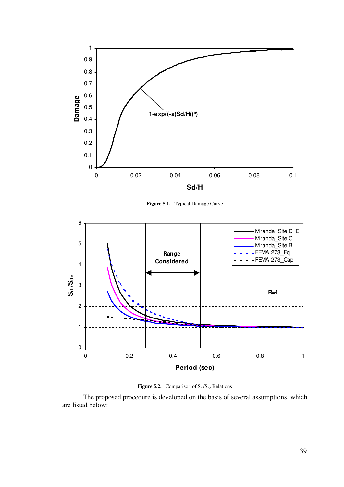

**Figure 5.1.** Typical Damage Curve





The proposed procedure is developed on the basis of several assumptions, which are listed below: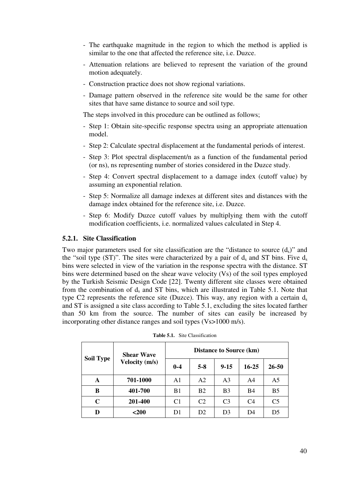- The earthquake magnitude in the region to which the method is applied is similar to the one that affected the reference site, i.e. Duzce.
- Attenuation relations are believed to represent the variation of the ground motion adequately.
- Construction practice does not show regional variations.
- Damage pattern observed in the reference site would be the same for other sites that have same distance to source and soil type.

The steps involved in this procedure can be outlined as follows;

- Step 1: Obtain site-specific response spectra using an appropriate attenuation model.
- Step 2: Calculate spectral displacement at the fundamental periods of interest.
- Step 3: Plot spectral displacement/n as a function of the fundamental period (or ns), ns representing number of stories considered in the Duzce study.
- Step 4: Convert spectral displacement to a damage index (cutoff value) by assuming an exponential relation.
- Step 5: Normalize all damage indexes at different sites and distances with the damage index obtained for the reference site, i.e. Duzce.
- Step 6: Modify Duzce cutoff values by multiplying them with the cutoff modification coefficients, i.e. normalized values calculated in Step 4.

#### **5.2.1. Site Classification**

Two major parameters used for site classification are the "distance to source  $(d_s)$ " and the "soil type (ST)". The sites were characterized by a pair of  $d_s$  and ST bins. Five  $d_s$ bins were selected in view of the variation in the response spectra with the distance. ST bins were determined based on the shear wave velocity (Vs) of the soil types employed by the Turkish Seismic Design Code [22]. Twenty different site classes were obtained from the combination of  $d_s$  and ST bins, which are illustrated in Table 5.1. Note that type C2 represents the reference site (Duzce). This way, any region with a certain  $d_s$ and ST is assigned a site class according to Table 5.1, excluding the sites located farther than 50 km from the source. The number of sites can easily be increased by incorporating other distance ranges and soil types (Vs>1000 m/s).

|                  | <b>Shear Wave</b>     | <b>Distance to Source (km)</b> |                |                |                |                |  |  |  |
|------------------|-----------------------|--------------------------------|----------------|----------------|----------------|----------------|--|--|--|
| <b>Soil Type</b> | <b>Velocity</b> (m/s) | $0 - 4$                        | $5 - 8$        | $9 - 15$       | $16 - 25$      | $26 - 50$      |  |  |  |
| A                | 701-1000              | A <sub>1</sub>                 | A <sub>2</sub> | A <sub>3</sub> | A <sub>4</sub> | A <sub>5</sub> |  |  |  |
| B                | 401-700               | B1                             | <b>B2</b>      | B <sub>3</sub> | <b>B4</b>      | B <sub>5</sub> |  |  |  |
| $\mathbf C$      | 201-400               | C <sub>1</sub>                 | C <sub>2</sub> | C <sub>3</sub> | C <sub>4</sub> | C <sub>5</sub> |  |  |  |
| D                | <200                  | D <sub>1</sub>                 | D <sub>2</sub> | D <sub>3</sub> | D4             | D <sub>5</sub> |  |  |  |

| <b>Table 5.1.</b> Site Classification |  |
|---------------------------------------|--|
|---------------------------------------|--|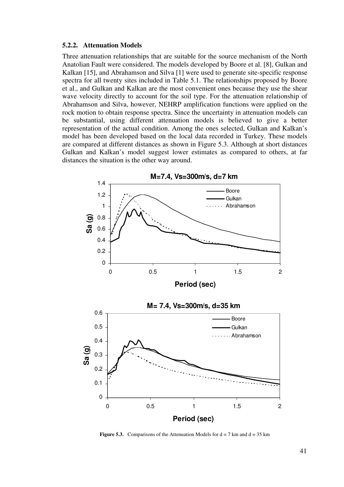#### **5.2.2. Attenuation Models**

Three attenuation relationships that are suitable for the source mechanism of the North Anatolian Fault were considered. The models developed by Boore et al. [8], Gulkan and Kalkan [15], and Abrahamson and Silva [1] were used to generate site-specific response spectra for all twenty sites included in Table 5.1. The relationships proposed by Boore et al., and Gulkan and Kalkan are the most convenient ones because they use the shear wave velocity directly to account for the soil type. For the attenuation relationship of Abrahamson and Silva, however, NEHRP amplification functions were applied on the rock motion to obtain response spectra. Since the uncertainty in attenuation models can be substantial, using different attenuation models is believed to give a better representation of the actual condition. Among the ones selected, Gulkan and Kalkan's model has been developed based on the local data recorded in Turkey. These models are compared at different distances as shown in Figure 5.3. Although at short distances Gulkan and Kalkan's model suggest lower estimates as compared to others, at far distances the situation is the other way around.



**Figure 5.3.** Comparisons of the Attenuation Models for  $d = 7$  km and  $d = 35$  km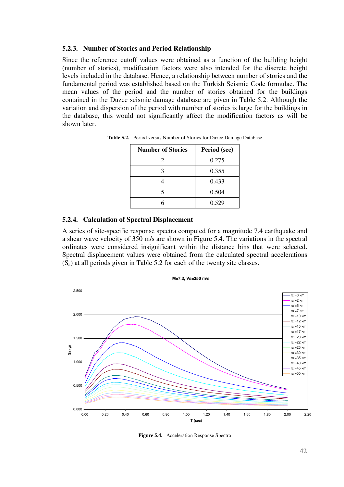#### **5.2.3. Number of Stories and Period Relationship**

Since the reference cutoff values were obtained as a function of the building height (number of stories), modification factors were also intended for the discrete height levels included in the database. Hence, a relationship between number of stories and the fundamental period was established based on the Turkish Seismic Code formulae. The mean values of the period and the number of stories obtained for the buildings contained in the Duzce seismic damage database are given in Table 5.2. Although the variation and dispersion of the period with number of stories is large for the buildings in the database, this would not significantly affect the modification factors as will be shown later.

| <b>Number of Stories</b> | Period (sec) |
|--------------------------|--------------|
| $\mathcal{D}_{\cdot}$    | 0.275        |
| 3                        | 0.355        |
|                          | 0.433        |
| 5                        | 0.504        |
|                          | 0.529        |

**Table 5.2.** Period versus Number of Stories for Duzce Damage Database

#### **5.2.4. Calculation of Spectral Displacement**

A series of site-specific response spectra computed for a magnitude 7.4 earthquake and a shear wave velocity of 350 m/s are shown in Figure 5.4. The variations in the spectral ordinates were considered insignificant within the distance bins that were selected. Spectral displacement values were obtained from the calculated spectral accelerations  $(S_a)$  at all periods given in Table 5.2 for each of the twenty site classes.



**M=7.3, Vs=350 m/s**

**Figure 5.4.** Acceleration Response Spectra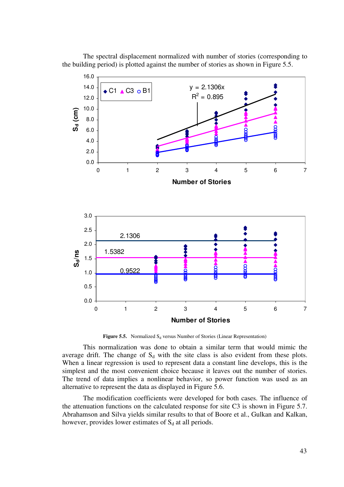

The spectral displacement normalized with number of stories (corresponding to the building period) is plotted against the number of stories as shown in Figure 5.5.

**Figure 5.5.** Normalized  $S_d$  versus Number of Stories (Linear Representation)

This normalization was done to obtain a similar term that would mimic the average drift. The change of  $S_d$  with the site class is also evident from these plots. When a linear regression is used to represent data a constant line develops, this is the simplest and the most convenient choice because it leaves out the number of stories. The trend of data implies a nonlinear behavior, so power function was used as an alternative to represent the data as displayed in Figure 5.6.

The modification coefficients were developed for both cases. The influence of the attenuation functions on the calculated response for site C3 is shown in Figure 5.7. Abrahamson and Silva yields similar results to that of Boore et al., Gulkan and Kalkan, however, provides lower estimates of  $S_d$  at all periods.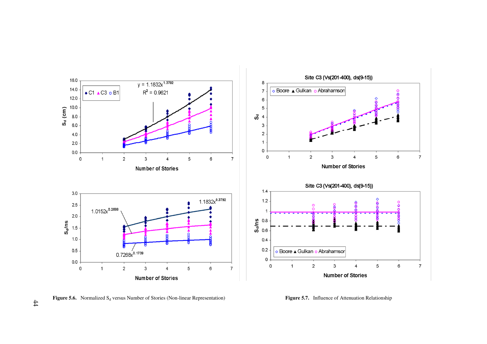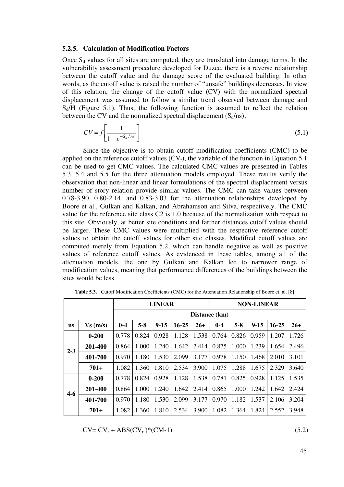#### **5.2.5. Calculation of Modification Factors**

Once  $S_d$  values for all sites are computed, they are translated into damage terms. In the vulnerability assessment procedure developed for Duzce, there is a reverse relationship between the cutoff value and the damage score of the evaluated building. In other words, as the cutoff value is raised the number of "unsafe" buildings decreases. In view of this relation, the change of the cutoff value (CV) with the normalized spectral displacement was assumed to follow a similar trend observed between damage and  $S_d/H$  (Figure 5.1). Thus, the following function is assumed to reflect the relation between the CV and the normalized spectral displacement  $(S_d/ns)$ ;

$$
CV = f\left[\frac{1}{1 - e^{-S_d / ns}}\right] \tag{5.1}
$$

Since the objective is to obtain cutoff modification coefficients (CMC) to be applied on the reference cutoff values  $(CV_r)$ , the variable of the function in Equation 5.1 can be used to get CMC values. The calculated CMC values are presented in Tables 5.3, 5.4 and 5.5 for the three attenuation models employed. These results verify the observation that non-linear and linear formulations of the spectral displacement versus number of story relation provide similar values. The CMC can take values between 0.78-3.90, 0.80-2.14, and 0.83-3.03 for the attenuation relationships developed by Boore et al., Gulkan and Kalkan, and Abrahamson and Silva, respectively. The CMC value for the reference site class C2 is 1.0 because of the normalization with respect to this site. Obviously, at better site conditions and farther distances cutoff values should be larger. These CMC values were multiplied with the respective reference cutoff values to obtain the cutoff values for other site classes. Modified cutoff values are computed merely from Equation 5.2, which can handle negative as well as positive values of reference cutoff values. As evidenced in these tables, among all of the attenuation models, the one by Gulkan and Kalkan led to narrower range of modification values, meaning that performance differences of the buildings between the sites would be less.

|           |           |               |                                                                                                   | <b>LINEAR</b> |       |       | <b>NON-LINEAR</b> |       |       |       |       |  |  |
|-----------|-----------|---------------|---------------------------------------------------------------------------------------------------|---------------|-------|-------|-------------------|-------|-------|-------|-------|--|--|
|           |           | Distance (km) |                                                                                                   |               |       |       |                   |       |       |       |       |  |  |
| <b>ns</b> | Vs(m/s)   | $0 - 4$       | $5 - 8$<br>$9 - 15$<br>$16 - 25$<br>$0 - 4$<br>$5 - 8$<br>$9 - 15$<br>$16 - 25$<br>$26+$<br>$26+$ |               |       |       |                   |       |       |       |       |  |  |
| $2 - 3$   | $0 - 200$ | 0.778         | 0.824                                                                                             | 0.928         | 1.128 | 1.538 | 0.764             | 0.826 | 0.959 | 1.207 | 1.726 |  |  |
|           | 201-400   | 0.864         | 1.000                                                                                             | 1.240         | 1.642 | 2.414 | 0.875             | 1.000 | 1.239 | 1.654 | 2.496 |  |  |
|           | 401-700   | 0.970         | 1.180                                                                                             | 1.530         | 2.099 | 3.177 | 0.978             | 1.150 | 1.468 | 2.010 | 3.101 |  |  |
|           | $701+$    | 1.082         | 1.360                                                                                             | 1.810         | 2.534 | 3.900 | 1.075             | 1.288 | 1.675 | 2.329 | 3.640 |  |  |
|           | $0 - 200$ | 0.778         | 0.824                                                                                             | 0.928         | 1.128 | 1.538 | 0.781             | 0.825 | 0.928 | 1.125 | 1.535 |  |  |
| $4 - 6$   | 201-400   | 0.864         | 1.000                                                                                             | 1.240         | 1.642 | 2.414 | 0.865             | 1.000 | 1.242 | 1.642 | 2.424 |  |  |
|           | 401-700   | 0.970         | 1.180                                                                                             | 1.530         | 2.099 | 3.177 | 0.970             | 1.182 | 1.537 | 2.106 | 3.204 |  |  |
|           | $701+$    | 1.082         | 1.360                                                                                             | 1.810         | 2.534 | 3.900 | 1.082             | 1.364 | 1.824 | 2.552 | 3.948 |  |  |

**Table 5.3.** Cutoff Modification Coefficients (CMC) for the Attenuation Relationship of Boore et. al. [8]

 $CV = CV_r + ABS(CV_r)^*(CM-1)$  (5.2)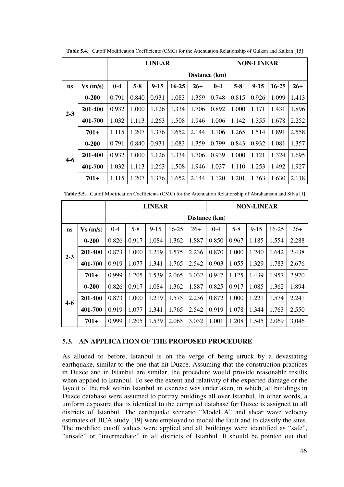|           |           |               |                                                                                                   | <b>LINEAR</b> |       |       | <b>NON-LINEAR</b> |       |       |       |       |  |  |
|-----------|-----------|---------------|---------------------------------------------------------------------------------------------------|---------------|-------|-------|-------------------|-------|-------|-------|-------|--|--|
|           |           | Distance (km) |                                                                                                   |               |       |       |                   |       |       |       |       |  |  |
| <b>ns</b> | Vs(m/s)   | $0 - 4$       | $5 - 8$<br>$9 - 15$<br>$0 - 4$<br>$5 - 8$<br>$9 - 15$<br>$16 - 25$<br>$16 - 25$<br>$26+$<br>$26+$ |               |       |       |                   |       |       |       |       |  |  |
| $2 - 3$   | $0 - 200$ | 0.791         | 0.840                                                                                             | 0.931         | 1.083 | 1.359 | 0.748             | 0.815 | 0.926 | 1.099 | 1.413 |  |  |
|           | 201-400   | 0.932         | 1.000                                                                                             | 1.126         | 1.334 | 1.706 | 0.892             | 1.000 | 1.171 | 1.431 | 1.896 |  |  |
|           | 401-700   | 1.032         | 1.113                                                                                             | 1.263         | 1.508 | 1.946 | 1.006             | 1.142 | 1.355 | 1.678 | 2.252 |  |  |
|           | $701+$    | 1.115         | 1.207                                                                                             | 1.376         | 1.652 | 2.144 | 1.106             | 1.265 | 1.514 | 1.891 | 2.558 |  |  |
|           | $0 - 200$ | 0.791         | 0.840                                                                                             | 0.931         | 1.083 | 1.359 | 0.799             | 0.843 | 0.932 | 1.081 | 1.357 |  |  |
| $4 - 6$   | 201-400   | 0.932         | 1.000                                                                                             | 1.126         | 1.334 | 1.706 | 0.939             | 1.000 | 1.121 | 1.324 | 1.695 |  |  |
|           | 401-700   | 1.032         | 1.113                                                                                             | 1.263         | 1.508 | 1.946 | 1.037             | 1.110 | 1.253 | 1.492 | 1.927 |  |  |
|           | $701+$    | 1.115         | 1.207                                                                                             | 1.376         | 1.652 | 2.144 | 1.120             | 1.201 | 1.363 | 1.630 | 2.118 |  |  |

**Table 5.4.** Cutoff Modification Coefficients (CMC) for the Attenuation Relationship of Gulkan and Kalkan [15]

**Table 5.5.** Cutoff Modification Coefficients (CMC) for the Attenuation Relationship of Abrahamson and Silva [1]

|           |           |               |                                                                                                   | <b>LINEAR</b> |       |       | <b>NON-LINEAR</b> |       |       |       |       |  |  |
|-----------|-----------|---------------|---------------------------------------------------------------------------------------------------|---------------|-------|-------|-------------------|-------|-------|-------|-------|--|--|
|           |           | Distance (km) |                                                                                                   |               |       |       |                   |       |       |       |       |  |  |
| <b>ns</b> | Vs(m/s)   | $0 - 4$       | $5 - 8$<br>$9 - 15$<br>$16 - 25$<br>$5 - 8$<br>$9 - 15$<br>$16 - 25$<br>$26+$<br>$26+$<br>$0 - 4$ |               |       |       |                   |       |       |       |       |  |  |
| $2 - 3$   | $0 - 200$ | 0.826         | 0.917                                                                                             | 1.084         | 1.362 | 1.887 | 0.850             | 0.967 | 1.185 | 1.554 | 2.288 |  |  |
|           | 201-400   | 0.873         | 1.000                                                                                             | 1.219         | 1.575 | 2.236 | 0.870             | 1.000 | 1.240 | 1.642 | 2.438 |  |  |
|           | 401-700   | 0.919         | 1.077                                                                                             | 1.341         | 1.765 | 2.542 | 0.903             | 1.055 | 1.329 | 1.783 | 2.676 |  |  |
|           | $701+$    | 0.999         | 1.205                                                                                             | 1.539         | 2.065 | 3.032 | 0.947             | 1.125 | 1.439 | 1.957 | 2.970 |  |  |
|           | $0 - 200$ | 0.826         | 0.917                                                                                             | 1.084         | 1.362 | 1.887 | 0.825             | 0.917 | 1.085 | 1.362 | 1.894 |  |  |
| $4-6$     | 201-400   | 0.873         | 1.000                                                                                             | 1.219         | 1.575 | 2.236 | 0.872             | 1.000 | 1.221 | 1.574 | 2.241 |  |  |
|           | 401-700   | 0.919         | 1.077                                                                                             | 1.341         | 1.765 | 2.542 | 0.919             | 1.078 | 1.344 | 1.763 | 2.550 |  |  |
|           | $701+$    | 0.999         | 1.205                                                                                             | 1.539         | 2.065 | 3.032 | 1.001             | 1.208 | 1.545 | 2.069 | 3.046 |  |  |

#### **5.3. AN APPLICATION OF THE PROPOSED PROCEDURE**

As alluded to before, Istanbul is on the verge of being struck by a devastating earthquake, similar to the one that hit Duzce. Assuming that the construction practices in Duzce and in Istanbul are similar, the procedure would provide reasonable results when applied to Istanbul. To see the extent and relativity of the expected damage or the layout of the risk within Istanbul an exercise was undertaken, in which, all buildings in Duzce database were assumed to portray buildings all over Istanbul. In other words, a uniform exposure that is identical to the compiled database for Duzce is assigned to all districts of Istanbul. The earthquake scenario "Model A" and shear wave velocity estimates of JICA study [19] were employed to model the fault and to classify the sites. The modified cutoff values were applied and all buildings were identified as "safe", "unsafe" or "intermediate" in all districts of Istanbul. It should be pointed out that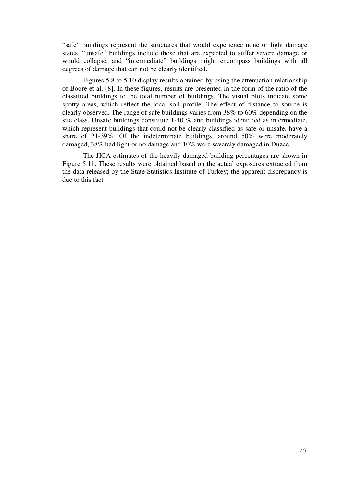"safe" buildings represent the structures that would experience none or light damage states, "unsafe" buildings include those that are expected to suffer severe damage or would collapse, and "intermediate" buildings might encompass buildings with all degrees of damage that can not be clearly identified.

Figures 5.8 to 5.10 display results obtained by using the attenuation relationship of Boore et al. [8]. In these figures, results are presented in the form of the ratio of the classified buildings to the total number of buildings. The visual plots indicate some spotty areas, which reflect the local soil profile. The effect of distance to source is clearly observed. The range of safe buildings varies from 38% to 60% depending on the site class. Unsafe buildings constitute 1-40 % and buildings identified as intermediate, which represent buildings that could not be clearly classified as safe or unsafe, have a share of 21-39%. Of the indeterminate buildings, around 50% were moderately damaged, 38% had light or no damage and 10% were severely damaged in Duzce.

The JICA estimates of the heavily damaged building percentages are shown in Figure 5.11. These results were obtained based on the actual exposures extracted from the data released by the State Statistics Institute of Turkey; the apparent discrepancy is due to this fact.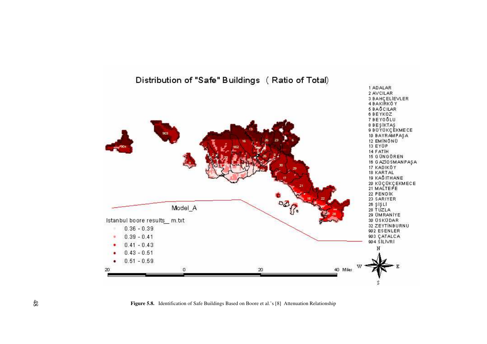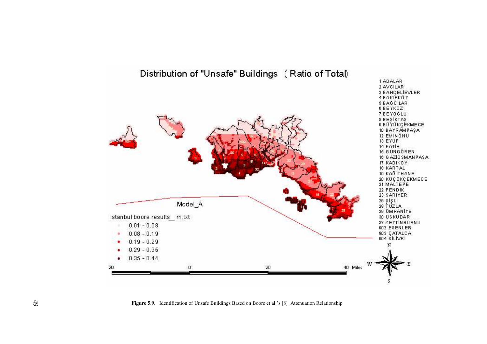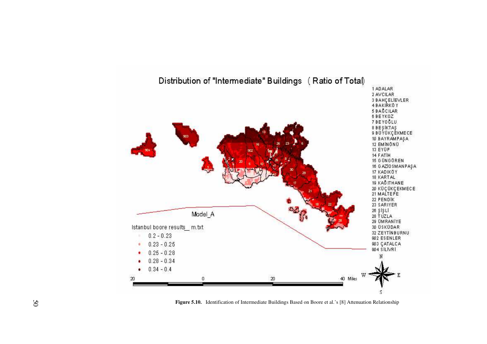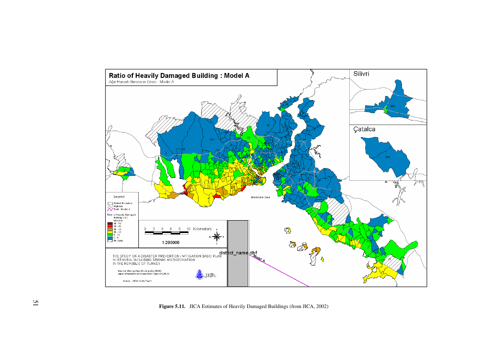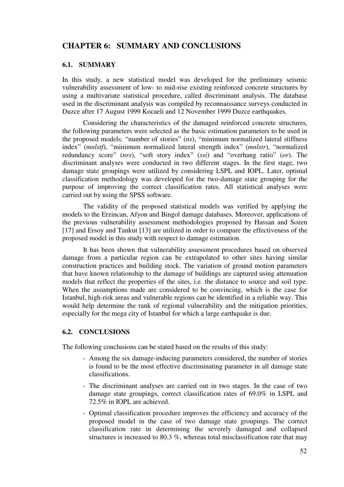# **CHAPTER 6: SUMMARY AND CONCLUSIONS**

#### **6.1. SUMMARY**

In this study, a new statistical model was developed for the preliminary seismic vulnerability assessment of low- to mid-rise existing reinforced concrete structures by using a multivariate statistical procedure, called discriminant analysis. The database used in the discriminant analysis was compiled by reconnaissance surveys conducted in Duzce after 17 August 1999 Kocaeli and 12 November 1999 Duzce earthquakes.

Considering the characteristics of the damaged reinforced concrete structures, the following parameters were selected as the basic estimation parameters to be used in the proposed models: "number of stories" (*ns*), "minimum normalized lateral stiffness index" (*mnlstf*), "minimum normalized lateral strength index" (*mnlstr*), "normalized redundancy score" (*nrs*), "soft story index" (*ssi*) and "overhang ratio" (*or*). The discriminant analyses were conducted in two different stages. In the first stage, two damage state groupings were utilized by considering LSPL and IOPL. Later, optimal classification methodology was developed for the two-damage state grouping for the purpose of improving the correct classification rates. All statistical analyses were carried out by using the SPSS software.

The validity of the proposed statistical models was verified by applying the models to the Erzincan, Afyon and Bingol damage databases. Moreover, applications of the previous vulnerability assessment methodologies proposed by Hassan and Sozen [17] and Ersoy and Tankut [13] are utilized in order to compare the effectiveness of the proposed model in this study with respect to damage estimation.

It has been shown that vulnerability assessment procedures based on observed damage from a particular region can be extrapolated to other sites having similar construction practices and building stock. The variation of ground motion parameters that have known relationship to the damage of buildings are captured using attenuation models that reflect the properties of the sites, i.e. the distance to source and soil type. When the assumptions made are considered to be convincing, which is the case for Istanbul, high-risk areas and vulnerable regions can be identified in a reliable way. This would help determine the rank of regional vulnerability and the mitigation priorities, especially for the mega city of Istanbul for which a large earthquake is due.

#### **6.2. CONCLUSIONS**

The following conclusions can be stated based on the results of this study:

- Among the six damage-inducing parameters considered, the number of stories is found to be the most effective discriminating parameter in all damage state classifications.
- The discriminant analyses are carried out in two stages. In the case of two damage state groupings, correct classification rates of 69.0% in LSPL and 72.5% in IOPL are achieved.
- Optimal classification procedure improves the efficiency and accuracy of the proposed model in the case of two damage state groupings. The correct classification rate in determining the severely damaged and collapsed structures is increased to 80.3 %, whereas total misclassification rate that may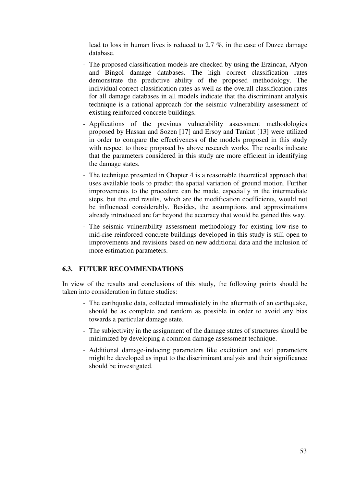lead to loss in human lives is reduced to 2.7 %, in the case of Duzce damage database.

- The proposed classification models are checked by using the Erzincan, Afyon and Bingol damage databases. The high correct classification rates demonstrate the predictive ability of the proposed methodology. The individual correct classification rates as well as the overall classification rates for all damage databases in all models indicate that the discriminant analysis technique is a rational approach for the seismic vulnerability assessment of existing reinforced concrete buildings.
- Applications of the previous vulnerability assessment methodologies proposed by Hassan and Sozen [17] and Ersoy and Tankut [13] were utilized in order to compare the effectiveness of the models proposed in this study with respect to those proposed by above research works. The results indicate that the parameters considered in this study are more efficient in identifying the damage states.
- The technique presented in Chapter 4 is a reasonable theoretical approach that uses available tools to predict the spatial variation of ground motion. Further improvements to the procedure can be made, especially in the intermediate steps, but the end results, which are the modification coefficients, would not be influenced considerably. Besides, the assumptions and approximations already introduced are far beyond the accuracy that would be gained this way.
- The seismic vulnerability assessment methodology for existing low-rise to mid-rise reinforced concrete buildings developed in this study is still open to improvements and revisions based on new additional data and the inclusion of more estimation parameters.

#### **6.3. FUTURE RECOMMENDATIONS**

In view of the results and conclusions of this study, the following points should be taken into consideration in future studies:

- The earthquake data, collected immediately in the aftermath of an earthquake, should be as complete and random as possible in order to avoid any bias towards a particular damage state.
- The subjectivity in the assignment of the damage states of structures should be minimized by developing a common damage assessment technique.
- Additional damage-inducing parameters like excitation and soil parameters might be developed as input to the discriminant analysis and their significance should be investigated.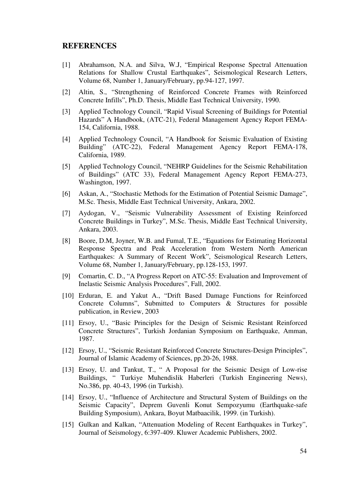#### **REFERENCES**

- [1] Abrahamson, N.A. and Silva, W.J, "Empirical Response Spectral Attenuation Relations for Shallow Crustal Earthquakes", Seismological Research Letters, Volume 68, Number 1, January/February, pp.94-127, 1997.
- [2] Altin, S., "Strengthening of Reinforced Concrete Frames with Reinforced Concrete Infills", Ph.D. Thesis, Middle East Technical University, 1990.
- [3] Applied Technology Council, "Rapid Visual Screening of Buildings for Potential Hazards" A Handbook, (ATC-21), Federal Management Agency Report FEMA-154, California, 1988.
- [4] Applied Technology Council, "A Handbook for Seismic Evaluation of Existing Building" (ATC-22), Federal Management Agency Report FEMA-178, California, 1989.
- [5] Applied Technology Council, "NEHRP Guidelines for the Seismic Rehabilitation of Buildings" (ATC 33), Federal Management Agency Report FEMA-273, Washington, 1997.
- [6] Askan, A., "Stochastic Methods for the Estimation of Potential Seismic Damage", M.Sc. Thesis, Middle East Technical University, Ankara, 2002.
- [7] Aydogan, V., "Seismic Vulnerability Assessment of Existing Reinforced Concrete Buildings in Turkey", M.Sc. Thesis, Middle East Technical University, Ankara, 2003.
- [8] Boore, D.M, Joyner, W.B. and Fumal, T.E., "Equations for Estimating Horizontal Response Spectra and Peak Acceleration from Western North American Earthquakes: A Summary of Recent Work", Seismological Research Letters, Volume 68, Number 1, January/February, pp.128-153, 1997.
- [9] Comartin, C. D., "A Progress Report on ATC-55: Evaluation and Improvement of Inelastic Seismic Analysis Procedures", Fall, 2002.
- [10] Erduran, E. and Yakut A., "Drift Based Damage Functions for Reinforced Concrete Columns", Submitted to Computers & Structures for possible publication, in Review, 2003
- [11] Ersoy, U., "Basic Principles for the Design of Seismic Resistant Reinforced Concrete Structures", Turkish Jordanian Symposium on Earthquake, Amman, 1987.
- [12] Ersoy, U., "Seismic Resistant Reinforced Concrete Structures-Design Principles", Journal of Islamic Academy of Sciences, pp.20-26, 1988.
- [13] Ersoy, U. and Tankut, T., " A Proposal for the Seismic Design of Low-rise Buildings, " Turkiye Muhendislik Haberleri (Turkish Engineering News), No.386, pp. 40-43, 1996 (in Turkish).
- [14] Ersoy, U., "Influence of Architecture and Structural System of Buildings on the Seismic Capacity", Deprem Guvenli Konut Sempozyumu (Earthquake-safe Building Symposium), Ankara, Boyut Matbaacilik, 1999. (in Turkish).
- [15] Gulkan and Kalkan, "Attenuation Modeling of Recent Earthquakes in Turkey", Journal of Seismology, 6:397-409. Kluwer Academic Publishers, 2002.